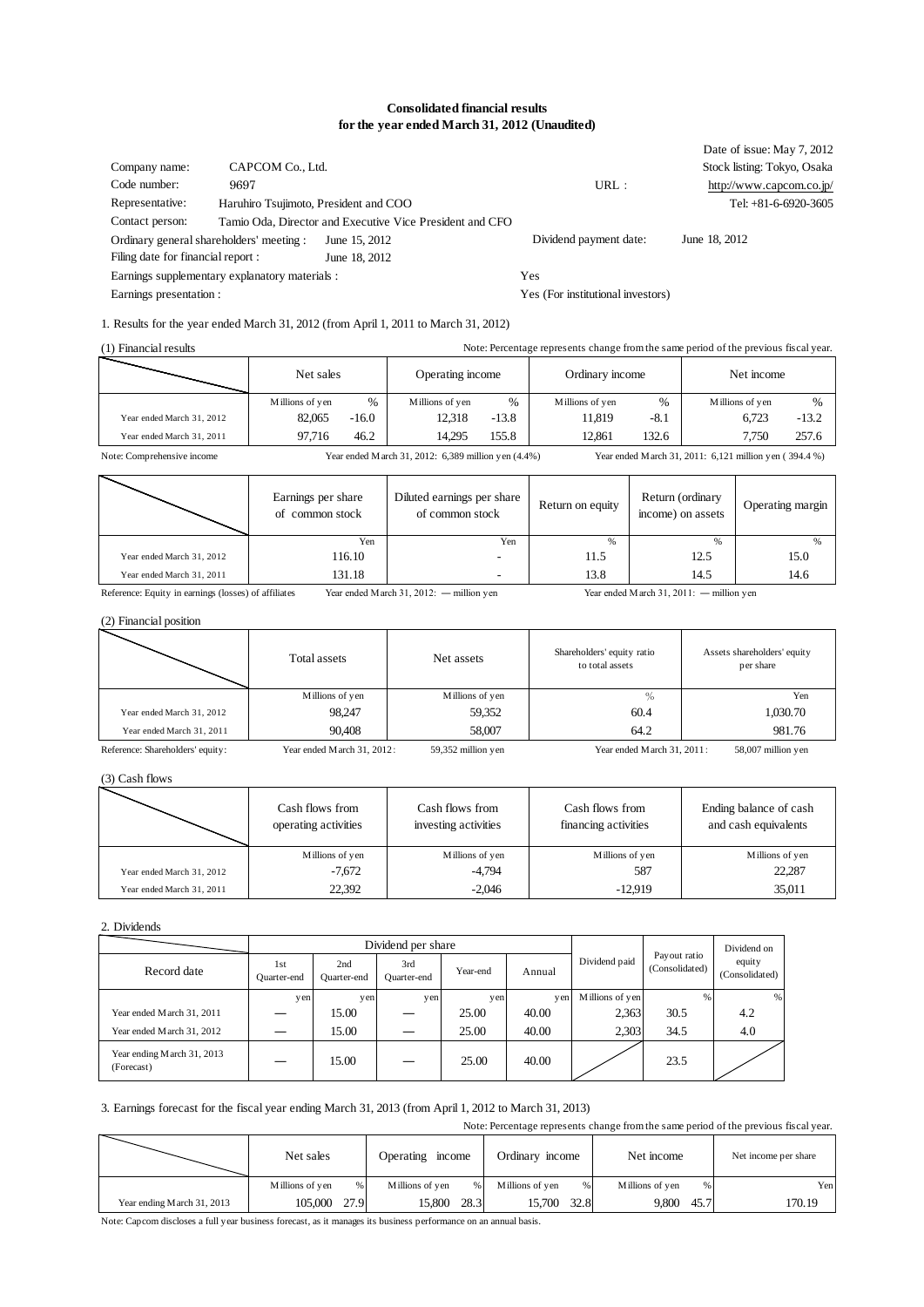#### **Consolidated financial results for the year ended March 31, 2012 (Unaudited)**

|                                          |                                                |                                                          |                                   | Date of issue: May 7, 2012  |
|------------------------------------------|------------------------------------------------|----------------------------------------------------------|-----------------------------------|-----------------------------|
| Company name:                            | CAPCOM Co., Ltd.                               |                                                          |                                   | Stock listing: Tokyo, Osaka |
| Code number:                             | 9697                                           |                                                          | URL:                              | http://www.capcom.co.jp/    |
| Representative:                          | Haruhiro Tsujimoto, President and COO          |                                                          |                                   | Tel: $+81-6-6920-3605$      |
| Contact person:                          |                                                | Tamio Oda, Director and Executive Vice President and CFO |                                   |                             |
| Ordinary general shareholders' meeting : |                                                | June 15, 2012                                            | Dividend payment date:            | June 18, 2012               |
| Filing date for financial report :       |                                                | June 18, 2012                                            |                                   |                             |
|                                          | Earnings supplementary explanatory materials : |                                                          | Yes                               |                             |
| Earnings presentation :                  |                                                |                                                          | Yes (For institutional investors) |                             |

# 1. Results for the year ended March 31, 2012 (from April 1, 2011 to March 31, 2012)

| (1) Financial results      |                                       |               |                                                     |               | Note: Percentage represents change from the same period of the previous fiscal year. |                                                        |               |                 |                  |
|----------------------------|---------------------------------------|---------------|-----------------------------------------------------|---------------|--------------------------------------------------------------------------------------|--------------------------------------------------------|---------------|-----------------|------------------|
|                            | Net sales                             |               | Operating income                                    |               | Ordinary income                                                                      |                                                        |               | Net income      |                  |
|                            | Millions of yen                       | $\frac{0}{0}$ | Millions of yen                                     | $\frac{0}{0}$ | Millions of yen                                                                      | $\frac{0}{0}$                                          |               | Millions of yen | $\%$             |
| Year ended March 31, 2012  | 82,065                                | $-16.0$       | 12,318                                              | $-13.8$       | 11,819                                                                               | $-8.1$                                                 |               | 6,723           | $-13.2$          |
| Year ended March 31, 2011  | 97,716                                | 46.2          | 14,295                                              | 155.8         | 12,861                                                                               | 132.6                                                  |               | 7,750           | 257.6            |
| Note: Comprehensive income |                                       |               | Year ended March 31, 2012: 6,389 million yen (4.4%) |               |                                                                                      | Year ended March 31, 2011: 6,121 million yen (394.4 %) |               |                 |                  |
|                            | Earnings per share<br>of common stock |               | Diluted earnings per share<br>of common stock       |               | Return on equity                                                                     | Return (ordinary<br>income) on assets                  |               |                 | Operating margin |
|                            |                                       | Yen           |                                                     | Yen           | $\frac{9}{6}$                                                                        |                                                        | $\frac{9}{6}$ |                 | %                |
| Year ended March 31, 2012  |                                       | 116.10        |                                                     |               | 11.5                                                                                 |                                                        | 12.5          |                 | 15.0             |
| Year ended March 31, 2011  |                                       | 131.18        |                                                     |               | 13.8                                                                                 |                                                        | 14.5          |                 | 14.6             |

Reference: Equity in earnings (losses) of affiliates Year ended March 31, 2012: — million yen Year ended March 31, 2011: — million yen

#### (2) Financial position

|                                  | Total assets               | Net assets         | Shareholders' equity ratio<br>to total assets | Assets shareholders' equity<br>per share |
|----------------------------------|----------------------------|--------------------|-----------------------------------------------|------------------------------------------|
|                                  | Millions of yen            | Millions of yen    | $\%$                                          | Yen                                      |
| Year ended March 31, 2012        | 98.247                     | 59,352             | 60.4                                          | 1,030.70                                 |
| Year ended March 31, 2011        | 90,408                     | 58,007             | 64.2                                          | 981.76                                   |
| Reference: Shareholders' equity: | Year ended March 31, 2012: | 59,352 million yen | Year ended March 31, 2011:                    | 58,007 million yen                       |

(3) Cash flows

|                           | Cash flows from<br>operating activities | Cash flows from<br>investing activities | Cash flows from<br>financing activities | Ending balance of cash<br>and cash equivalents |
|---------------------------|-----------------------------------------|-----------------------------------------|-----------------------------------------|------------------------------------------------|
|                           | Millions of yen                         | Millions of yen                         | Millions of yen                         | Millions of yen                                |
| Year ended March 31, 2012 | $-7.672$                                | $-4.794$                                | 587                                     | 22,287                                         |
| Year ended March 31, 2011 | 22,392                                  | $-2.046$                                | $-12.919$                               | 35,011                                         |

2. Dividends

| 2. Dividends                             |                    |                    |                    |          |        |                 |                                |                          |
|------------------------------------------|--------------------|--------------------|--------------------|----------|--------|-----------------|--------------------------------|--------------------------|
|                                          | Dividend per share |                    |                    |          |        | Dividend on     |                                |                          |
| Record date                              | 1st<br>Ouarter-end | 2nd<br>Ouarter-end | 3rd<br>Quarter-end | Year-end | Annual | Dividend paid   | Payout ratio<br>(Consolidated) | equity<br>(Consolidated) |
|                                          | yen                | yen                | yen                | yen      | yen    | Millions of yen | $\%$                           | %                        |
| Year ended March 31, 2011                |                    | 15.00              |                    | 25.00    | 40.00  | 2,363           | 30.5                           | 4.2                      |
| Year ended March 31, 2012                |                    | 15.00              |                    | 25.00    | 40.00  | 2,303           | 34.5                           | 4.0                      |
| Year ending March 31, 2013<br>(Forecast) |                    | 15.00              |                    | 25.00    | 40.00  |                 | 23.5                           |                          |

#### 3. Earnings forecast for the fiscal year ending March 31, 2013 (from April 1, 2012 to March 31, 2013)

| (Forecast)                                                                                            |                 |      |                  |      |                                                                                      |      |                 |      |                      |        |
|-------------------------------------------------------------------------------------------------------|-----------------|------|------------------|------|--------------------------------------------------------------------------------------|------|-----------------|------|----------------------|--------|
| 3. Earnings forecast for the fiscal year ending March 31, 2013 (from April 1, 2012 to March 31, 2013) |                 |      |                  |      | Note: Percentage represents change from the same period of the previous fiscal year. |      |                 |      |                      |        |
|                                                                                                       | Net sales       |      | Operating income |      | Ordinary income                                                                      |      | Net income      |      | Net income per share |        |
|                                                                                                       | Millions of yen | %    | Millions of yen  | $\%$ | Millions of yen                                                                      | %    | Millions of yen | %    |                      | Yen    |
| Year ending M arch 31, 2013                                                                           | 105,000         | 27.9 | 15,800           | 28.3 | 15.700                                                                               | 32.8 | 9.800           | 45.7 |                      | 170.19 |

Note: Capcom discloses a full year business forecast, as it manages its business performance on an annual basis.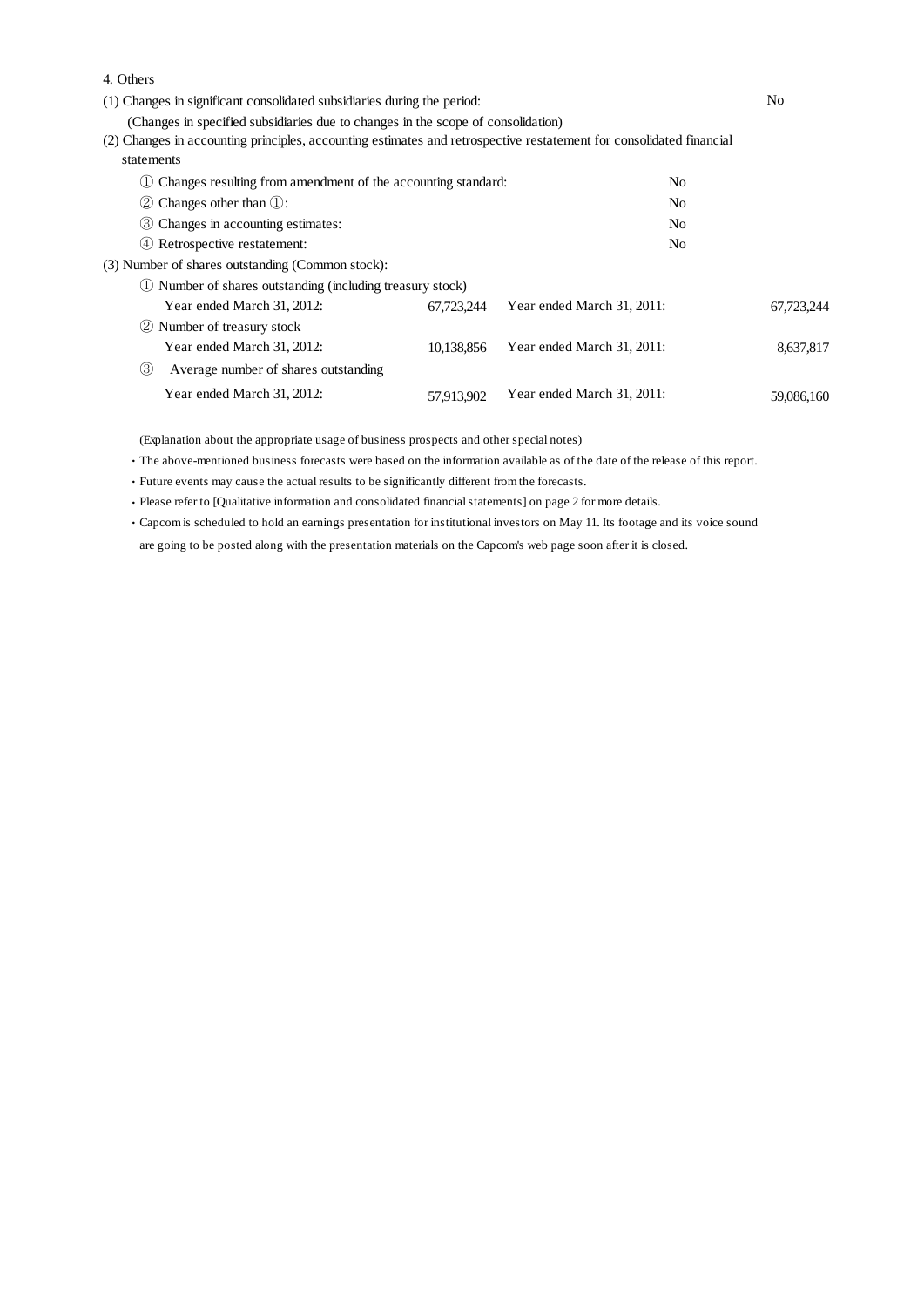| 4. Others                                                                                                           |            |                            |                |  |
|---------------------------------------------------------------------------------------------------------------------|------------|----------------------------|----------------|--|
| (1) Changes in significant consolidated subsidiaries during the period:                                             |            |                            | No             |  |
| (Changes in specified subsidiaries due to changes in the scope of consolidation)                                    |            |                            |                |  |
| (2) Changes in accounting principles, accounting estimates and retrospective restatement for consolidated financial |            |                            |                |  |
| statements                                                                                                          |            |                            |                |  |
| Changes resulting from amendment of the accounting standard:                                                        |            |                            | No             |  |
| $\oslash$ Changes other than $\oslash$ :                                                                            |            |                            | No.            |  |
| 3 Changes in accounting estimates:                                                                                  |            |                            | N <sub>o</sub> |  |
| (4) Retrospective restatement:                                                                                      |            |                            | No.            |  |
| (3) Number of shares outstanding (Common stock):                                                                    |            |                            |                |  |
| Number of shares outstanding (including treasury stock)                                                             |            |                            |                |  |
| Year ended March 31, 2012:                                                                                          | 67,723,244 | Year ended March 31, 2011: | 67.723.244     |  |
| Number of treasury stock<br>(2)                                                                                     |            |                            |                |  |
| Year ended March 31, 2012:                                                                                          | 10,138,856 | Year ended March 31, 2011: | 8,637,817      |  |
| (3)<br>Average number of shares outstanding                                                                         |            |                            |                |  |
| Year ended March 31, 2012:                                                                                          | 57,913,902 | Year ended March 31, 2011: | 59,086,160     |  |

(Explanation about the appropriate usage of business prospects and other special notes)

・The above-mentioned business forecasts were based on the information available as of the date of the release of this report.

・Future events may cause the actual results to be significantly different from the forecasts.

・Please refer to [Qualitative information and consolidated financial statements] on page 2 for more details.

・Capcom is scheduled to hold an earnings presentation for institutional investors on May 11. Its footage and its voice sound are going to be posted along with the presentation materials on the Capcom's web page soon after it is closed.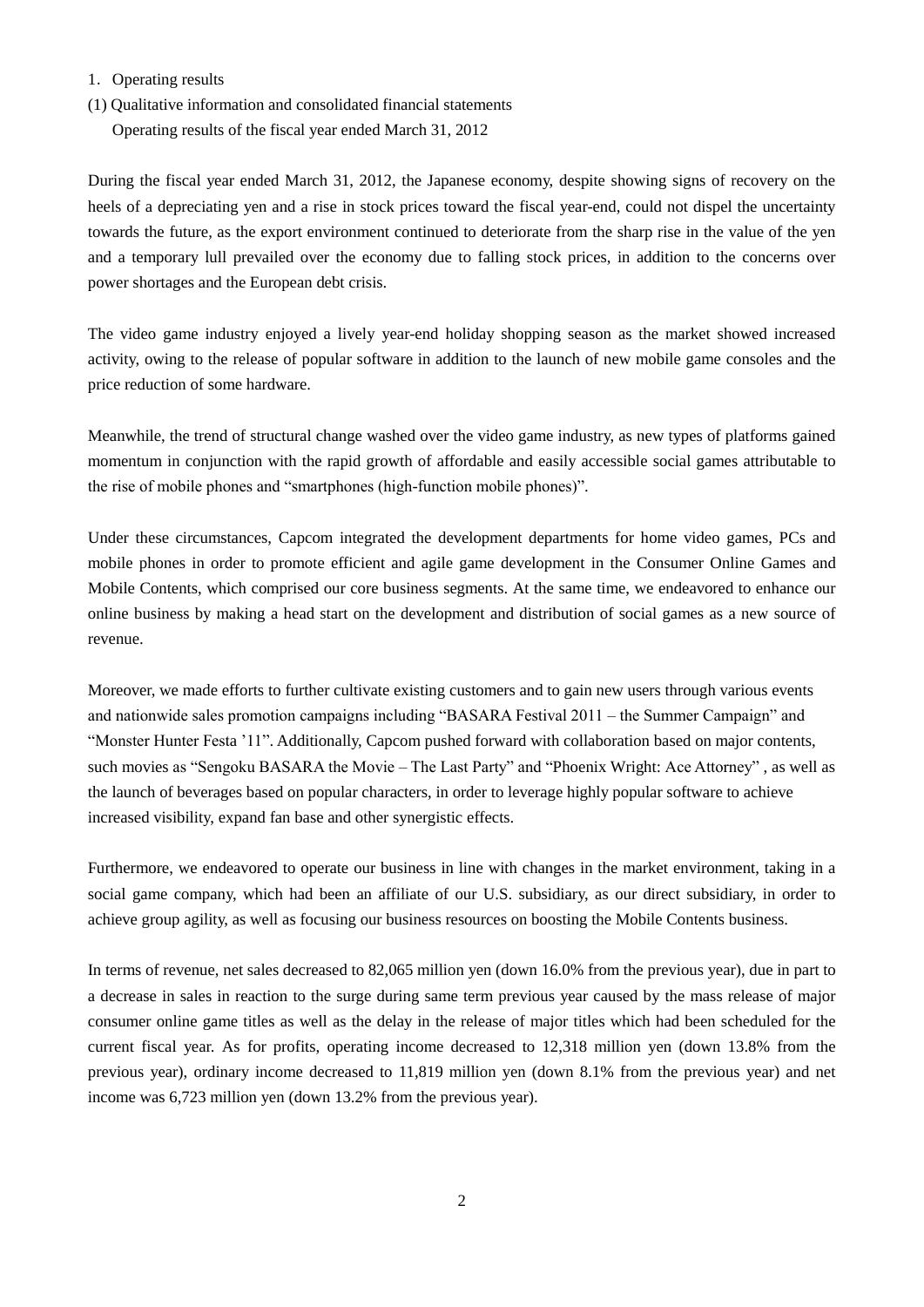### 1.Operating results

(1) Qualitative information and consolidated financial statements

Operating results of the fiscal year ended March 31, 2012

During the fiscal year ended March 31, 2012, the Japanese economy, despite showing signs of recovery on the heels of a depreciating yen and a rise in stock prices toward the fiscal year-end, could not dispel the uncertainty towards the future, as the export environment continued to deteriorate from the sharp rise in the value of the yen and a temporary lull prevailed over the economy due to falling stock prices, in addition to the concerns over power shortages and the European debt crisis.

The video game industry enjoyed a lively year-end holiday shopping season as the market showed increased activity, owing to the release of popular software in addition to the launch of new mobile game consoles and the price reduction of some hardware.

Meanwhile, the trend of structural change washed over the video game industry, as new types of platforms gained momentum in conjunction with the rapid growth of affordable and easily accessible social games attributable to the rise of mobile phones and "smartphones (high-function mobile phones)".

Under these circumstances, Capcom integrated the development departments for home video games, PCs and mobile phones in order to promote efficient and agile game development in the Consumer Online Games and Mobile Contents, which comprised our core business segments. At the same time, we endeavored to enhance our online business by making a head start on the development and distribution of social games as a new source of revenue.

Moreover, we made efforts to further cultivate existing customers and to gain new users through various events and nationwide sales promotion campaigns including "BASARA Festival 2011 – the Summer Campaign" and "Monster Hunter Festa "11". Additionally, Capcom pushed forward with collaboration based on major contents, such movies as "Sengoku BASARA the Movie – The Last Party" and "Phoenix Wright: Ace Attorney" , as well as the launch of beverages based on popular characters, in order to leverage highly popular software to achieve increased visibility, expand fan base and other synergistic effects.

Furthermore, we endeavored to operate our business in line with changes in the market environment, taking in a social game company, which had been an affiliate of our U.S. subsidiary, as our direct subsidiary, in order to achieve group agility, as well as focusing our business resources on boosting the Mobile Contents business.

In terms of revenue, net sales decreased to 82,065 million yen (down 16.0% from the previous year), due in part to a decrease in sales in reaction to the surge during same term previous year caused by the mass release of major consumer online game titles as well as the delay in the release of major titles which had been scheduled for the current fiscal year. As for profits, operating income decreased to 12,318 million yen (down 13.8% from the previous year), ordinary income decreased to 11,819 million yen (down 8.1% from the previous year) and net income was 6,723 million yen (down 13.2% from the previous year).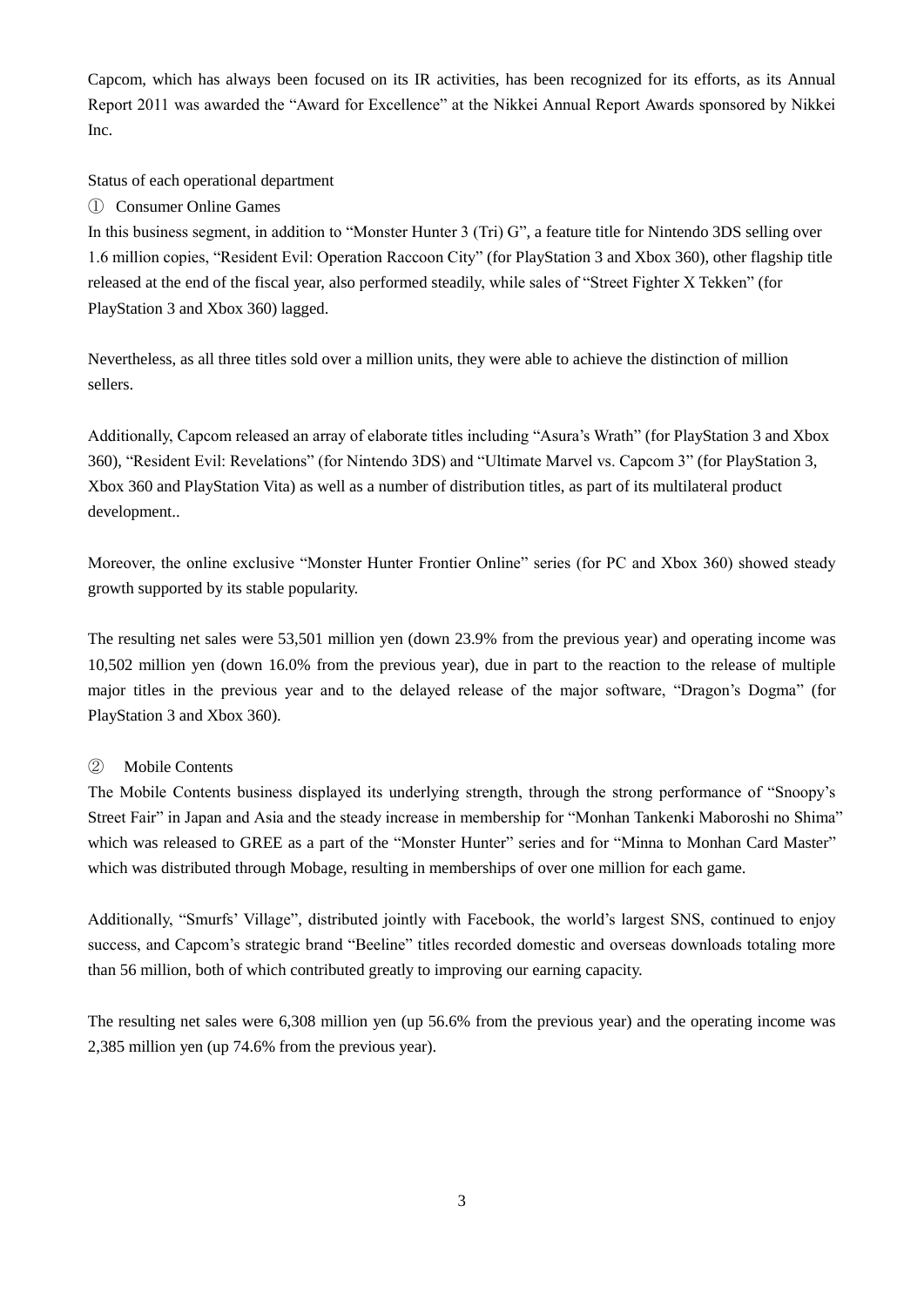Capcom, which has always been focused on its IR activities, has been recognized for its efforts, as its Annual Report 2011 was awarded the "Award for Excellence" at the Nikkei Annual Report Awards sponsored by Nikkei Inc.

Status of each operational department

# ① Consumer Online Games

In this business segment, in addition to "Monster Hunter 3 (Tri) G", a feature title for Nintendo 3DS selling over 1.6 million copies, "Resident Evil: Operation Raccoon City" (for PlayStation 3 and Xbox 360), other flagship title released at the end of the fiscal year, also performed steadily, while sales of "Street Fighter X Tekken" (for PlayStation 3 and Xbox 360) lagged.

Nevertheless, as all three titles sold over a million units, they were able to achieve the distinction of million sellers.

Additionally, Capcom released an array of elaborate titles including "Asura"s Wrath" (for PlayStation 3 and Xbox 360), "Resident Evil: Revelations" (for Nintendo 3DS) and "Ultimate Marvel vs. Capcom 3" (for PlayStation 3, Xbox 360 and PlayStation Vita) as well as a number of distribution titles, as part of its multilateral product development..

Moreover, the online exclusive "Monster Hunter Frontier Online" series (for PC and Xbox 360) showed steady growth supported by its stable popularity.

The resulting net sales were 53,501 million yen (down 23.9% from the previous year) and operating income was 10,502 million yen (down 16.0% from the previous year), due in part to the reaction to the release of multiple major titles in the previous year and to the delayed release of the major software, "Dragon's Dogma" (for PlayStation 3 and Xbox 360).

# ② Mobile Contents

The Mobile Contents business displayed its underlying strength, through the strong performance of "Snoopy"s Street Fair" in Japan and Asia and the steady increase in membership for "Monhan Tankenki Maboroshi no Shima" which was released to GREE as a part of the "Monster Hunter" series and for "Minna to Monhan Card Master" which was distributed through Mobage, resulting in memberships of over one million for each game.

Additionally, "Smurfs' Village", distributed jointly with Facebook, the world's largest SNS, continued to enjoy success, and Capcom"s strategic brand "Beeline" titles recorded domestic and overseas downloads totaling more than 56 million, both of which contributed greatly to improving our earning capacity.

The resulting net sales were 6,308 million yen (up 56.6% from the previous year) and the operating income was 2,385 million yen (up 74.6% from the previous year).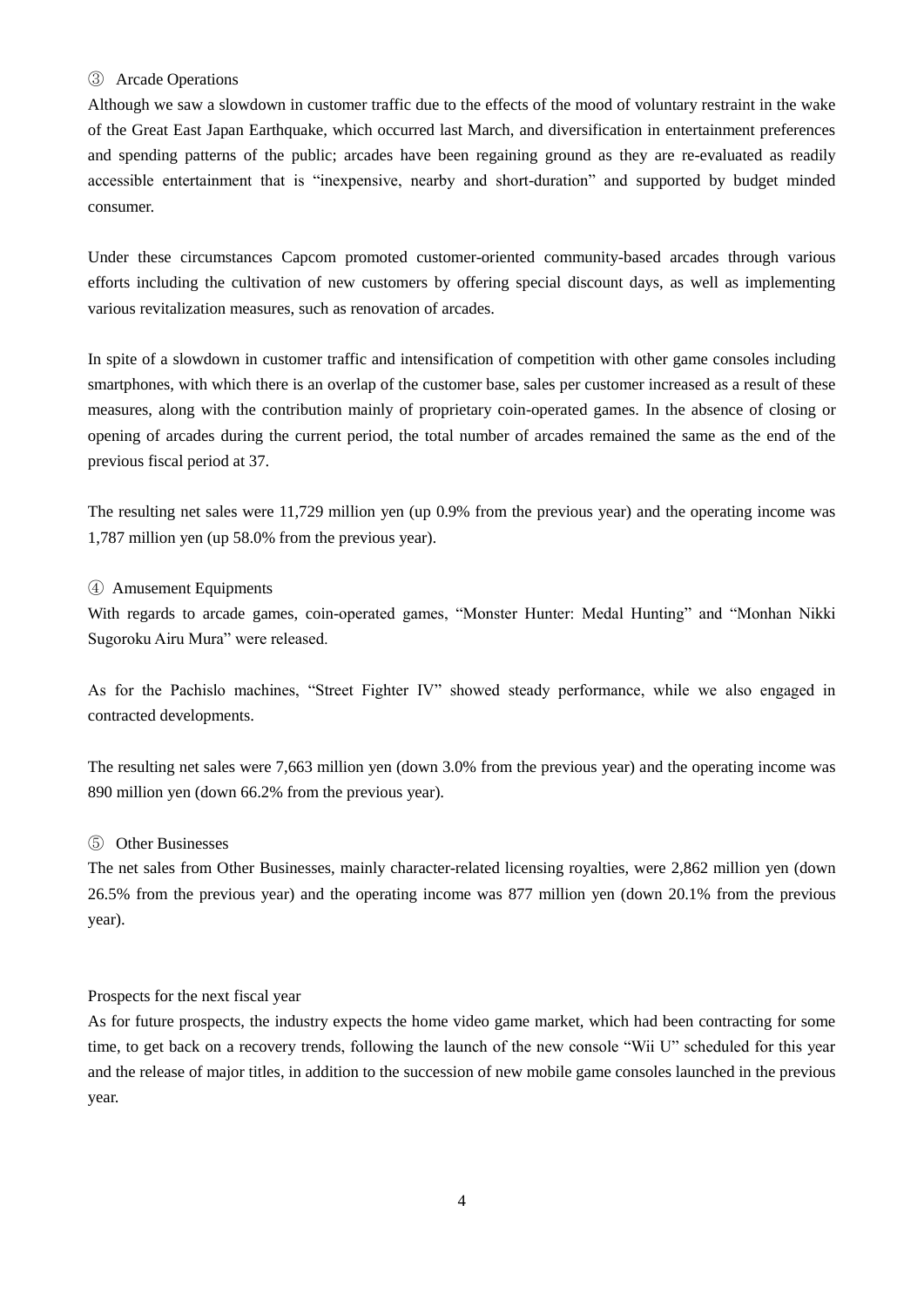#### ③ Arcade Operations

Although we saw a slowdown in customer traffic due to the effects of the mood of voluntary restraint in the wake of the Great East Japan Earthquake, which occurred last March, and diversification in entertainment preferences and spending patterns of the public; arcades have been regaining ground as they are re-evaluated as readily accessible entertainment that is "inexpensive, nearby and short-duration" and supported by budget minded consumer.

Under these circumstances Capcom promoted customer-oriented community-based arcades through various efforts including the cultivation of new customers by offering special discount days, as well as implementing various revitalization measures, such as renovation of arcades.

In spite of a slowdown in customer traffic and intensification of competition with other game consoles including smartphones, with which there is an overlap of the customer base, sales per customer increased as a result of these measures, along with the contribution mainly of proprietary coin-operated games. In the absence of closing or opening of arcades during the current period, the total number of arcades remained the same as the end of the previous fiscal period at 37.

The resulting net sales were 11,729 million yen (up 0.9% from the previous year) and the operating income was 1,787 million yen (up 58.0% from the previous year).

### ④ Amusement Equipments

With regards to arcade games, coin-operated games, "Monster Hunter: Medal Hunting" and "Monhan Nikki Sugoroku Airu Mura" were released.

As for the Pachislo machines, "Street Fighter IV" showed steady performance, while we also engaged in contracted developments.

The resulting net sales were 7,663 million yen (down 3.0% from the previous year) and the operating income was 890 million yen (down 66.2% from the previous year).

# ⑤ Other Businesses

The net sales from Other Businesses, mainly character-related licensing royalties, were 2,862 million yen (down 26.5% from the previous year) and the operating income was 877 million yen (down 20.1% from the previous year).

#### Prospects for the next fiscal year

As for future prospects, the industry expects the home video game market, which had been contracting for some time, to get back on a recovery trends, following the launch of the new console "Wii U" scheduled for this year and the release of major titles, in addition to the succession of new mobile game consoles launched in the previous year.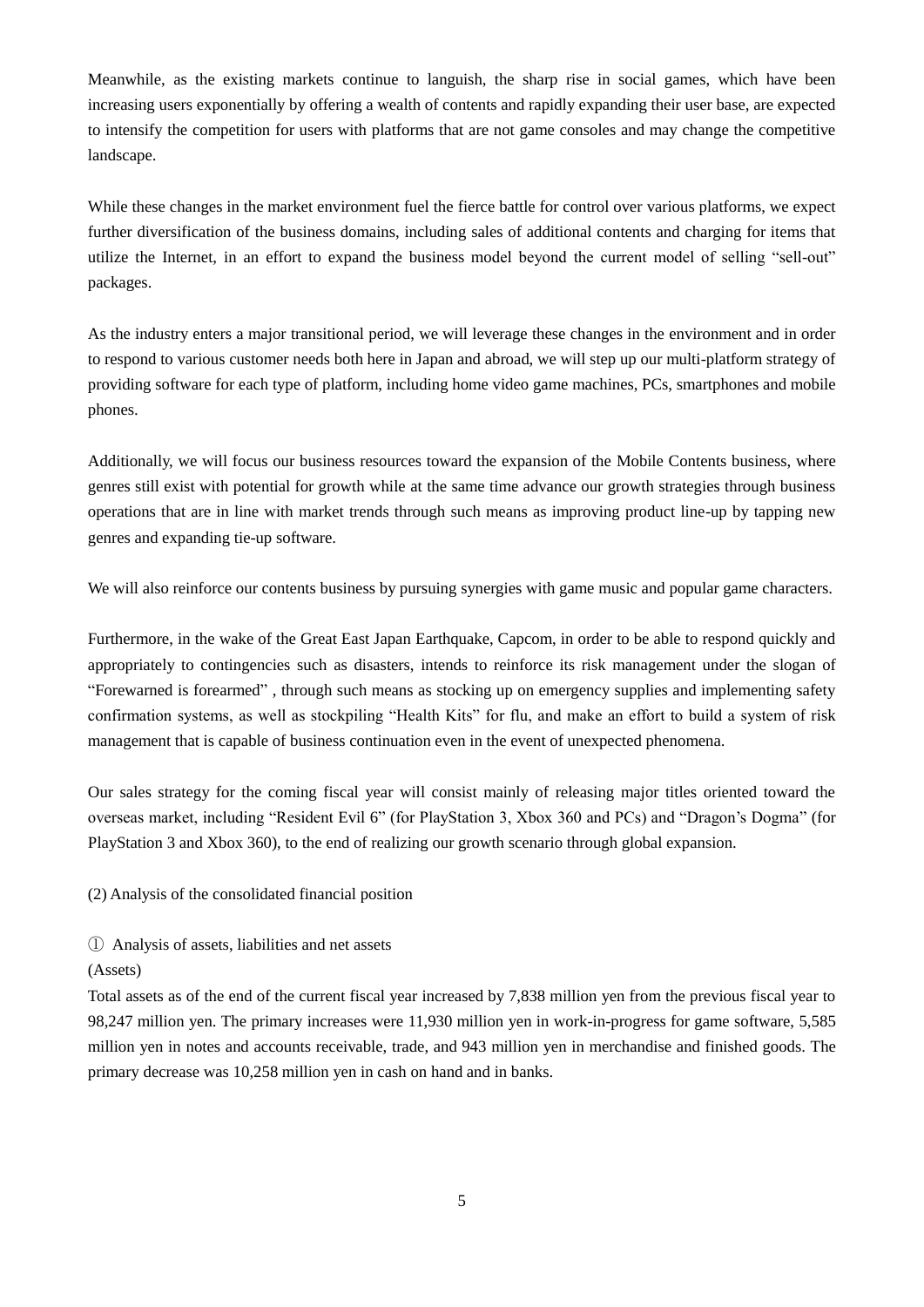Meanwhile, as the existing markets continue to languish, the sharp rise in social games, which have been increasing users exponentially by offering a wealth of contents and rapidly expanding their user base, are expected to intensify the competition for users with platforms that are not game consoles and may change the competitive landscape.

While these changes in the market environment fuel the fierce battle for control over various platforms, we expect further diversification of the business domains, including sales of additional contents and charging for items that utilize the Internet, in an effort to expand the business model beyond the current model of selling "sell-out" packages.

As the industry enters a major transitional period, we will leverage these changes in the environment and in order to respond to various customer needs both here in Japan and abroad, we will step up our multi-platform strategy of providing software for each type of platform, including home video game machines, PCs, smartphones and mobile phones.

Additionally, we will focus our business resources toward the expansion of the Mobile Contents business, where genres still exist with potential for growth while at the same time advance our growth strategies through business operations that are in line with market trends through such means as improving product line-up by tapping new genres and expanding tie-up software.

We will also reinforce our contents business by pursuing synergies with game music and popular game characters.

Furthermore, in the wake of the Great East Japan Earthquake, Capcom, in order to be able to respond quickly and appropriately to contingencies such as disasters, intends to reinforce its risk management under the slogan of "Forewarned is forearmed" , through such means as stocking up on emergency supplies and implementing safety confirmation systems, as well as stockpiling "Health Kits" for flu, and make an effort to build a system of risk management that is capable of business continuation even in the event of unexpected phenomena.

Our sales strategy for the coming fiscal year will consist mainly of releasing major titles oriented toward the overseas market, including "Resident Evil 6" (for PlayStation 3, Xbox 360 and PCs) and "Dragon"s Dogma" (for PlayStation 3 and Xbox 360), to the end of realizing our growth scenario through global expansion.

(2) Analysis of the consolidated financial position

① Analysis of assets, liabilities and net assets

#### (Assets)

Total assets as of the end of the current fiscal year increased by 7,838 million yen from the previous fiscal year to 98,247 million yen. The primary increases were 11,930 million yen in work-in-progress for game software, 5,585 million yen in notes and accounts receivable, trade, and 943 million yen in merchandise and finished goods. The primary decrease was 10,258 million yen in cash on hand and in banks.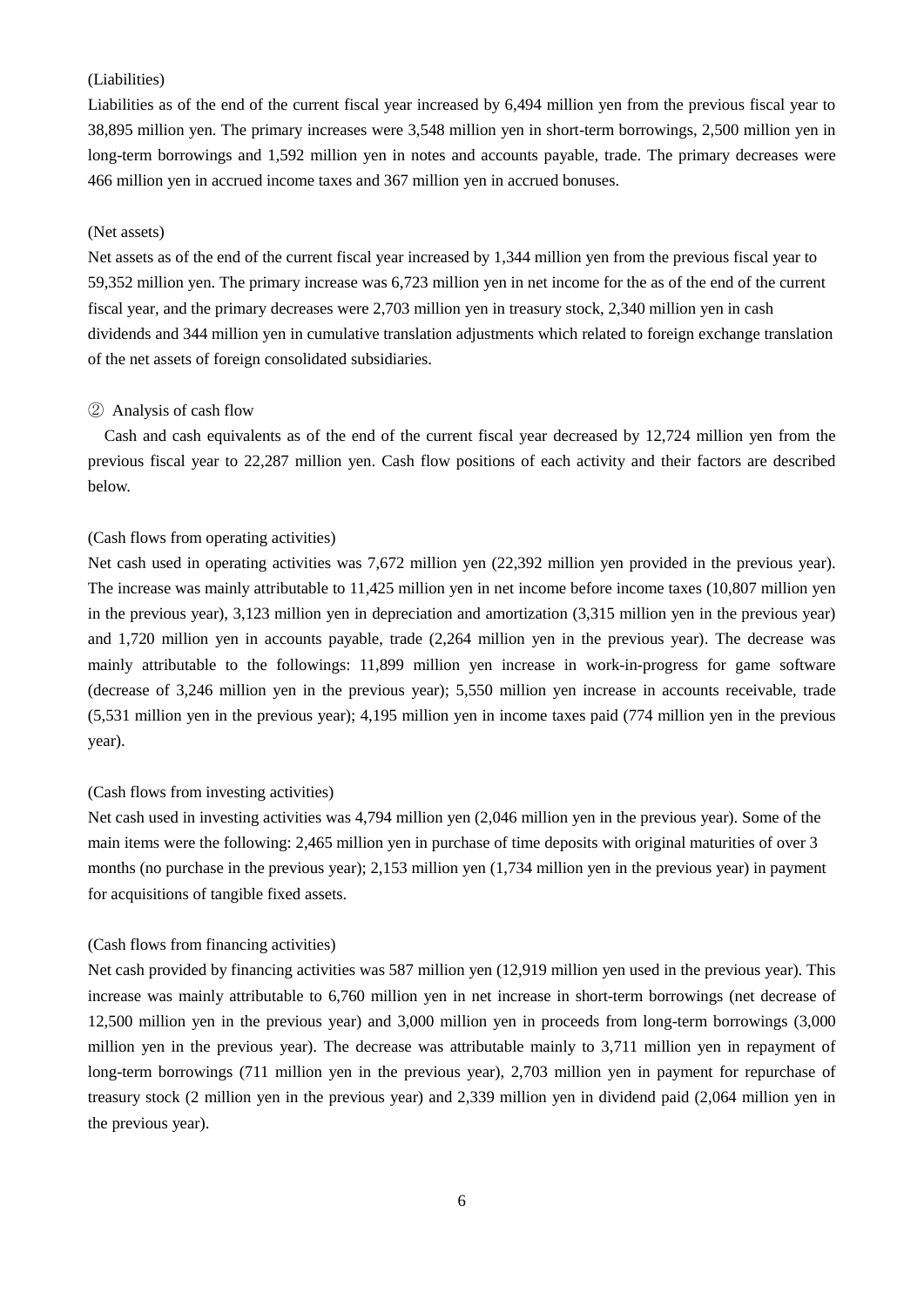# (Liabilities)

Liabilities as of the end of the current fiscal year increased by 6,494 million yen from the previous fiscal year to 38,895 million yen. The primary increases were 3,548 million yen in short-term borrowings, 2,500 million yen in long-term borrowings and 1,592 million yen in notes and accounts payable, trade. The primary decreases were 466 million yen in accrued income taxes and 367 million yen in accrued bonuses.

#### (Net assets)

Net assets as of the end of the current fiscal year increased by 1,344 million yen from the previous fiscal year to 59,352 million yen. The primary increase was 6,723 million yen in net income for the as of the end of the current fiscal year, and the primary decreases were 2,703 million yen in treasury stock, 2,340 million yen in cash dividends and 344 million yen in cumulative translation adjustments which related to foreign exchange translation of the net assets of foreign consolidated subsidiaries.

#### ② Analysis of cash flow

Cash and cash equivalents as of the end of the current fiscal year decreased by 12,724 million yen from the previous fiscal year to 22,287 million yen. Cash flow positions of each activity and their factors are described below.

### (Cash flows from operating activities)

Net cash used in operating activities was 7,672 million yen (22,392 million yen provided in the previous year). The increase was mainly attributable to 11,425 million yen in net income before income taxes (10,807 million yen in the previous year), 3,123 million yen in depreciation and amortization (3,315 million yen in the previous year) and 1,720 million yen in accounts payable, trade (2,264 million yen in the previous year). The decrease was mainly attributable to the followings: 11,899 million yen increase in work-in-progress for game software (decrease of 3,246 million yen in the previous year); 5,550 million yen increase in accounts receivable, trade (5,531 million yen in the previous year); 4,195 million yen in income taxes paid (774 million yen in the previous year).

#### (Cash flows from investing activities)

Net cash used in investing activities was 4,794 million yen (2,046 million yen in the previous year). Some of the main items were the following: 2,465 million yen in purchase of time deposits with original maturities of over 3 months (no purchase in the previous year); 2,153 million yen (1,734 million yen in the previous year) in payment for acquisitions of tangible fixed assets.

#### (Cash flows from financing activities)

Net cash provided by financing activities was 587 million yen (12,919 million yen used in the previous year). This increase was mainly attributable to 6,760 million yen in net increase in short-term borrowings (net decrease of 12,500 million yen in the previous year) and 3,000 million yen in proceeds from long-term borrowings (3,000 million yen in the previous year). The decrease was attributable mainly to 3,711 million yen in repayment of long-term borrowings (711 million yen in the previous year), 2,703 million yen in payment for repurchase of treasury stock (2 million yen in the previous year) and 2,339 million yen in dividend paid (2,064 million yen in the previous year).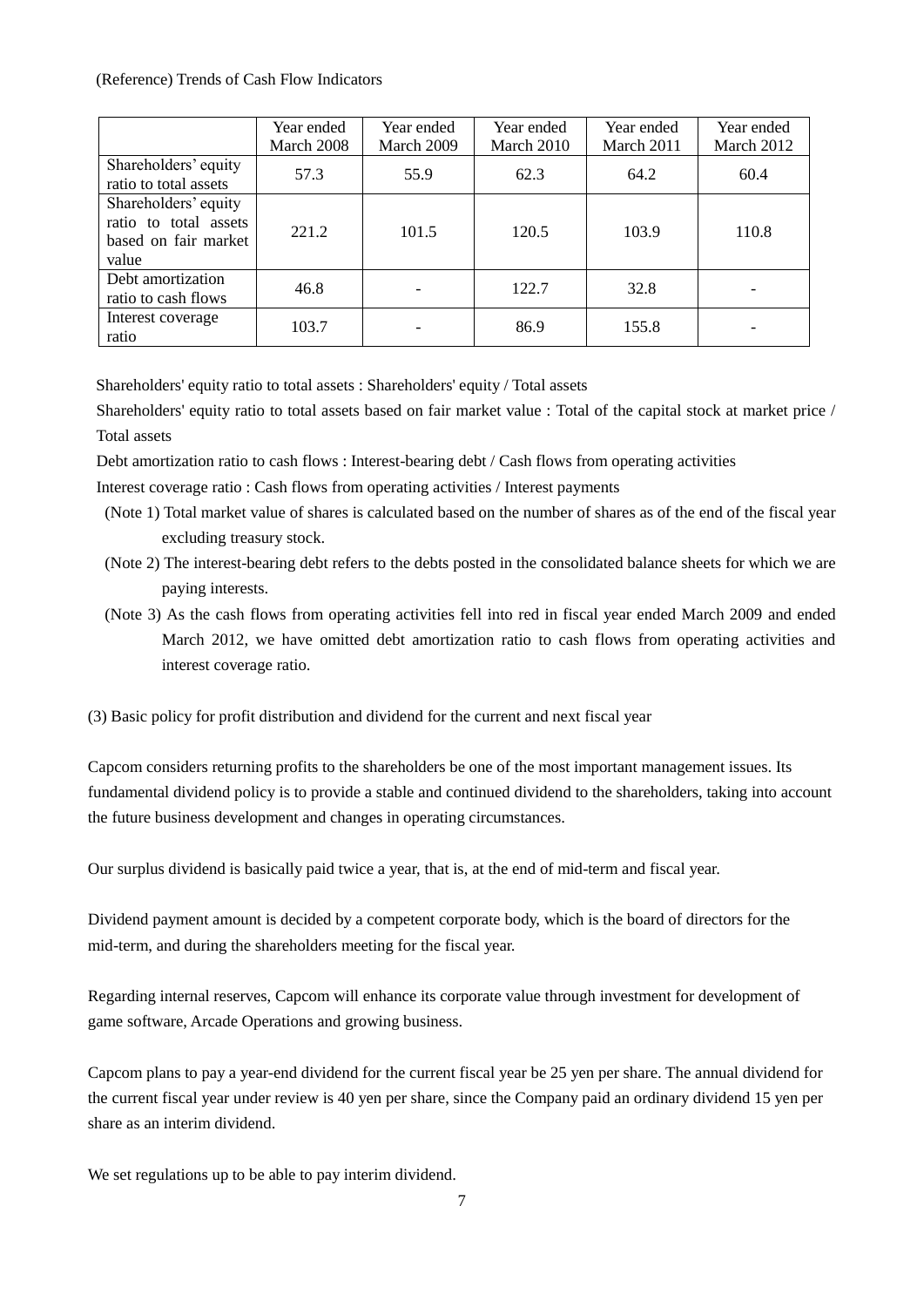### (Reference) Trends of Cash Flow Indicators

|                                                                                | Year ended<br>March 2008 | Year ended<br>March 2009 | Year ended<br>March 2010 | Year ended<br>March 2011 | Year ended<br>March 2012 |
|--------------------------------------------------------------------------------|--------------------------|--------------------------|--------------------------|--------------------------|--------------------------|
| Shareholders' equity<br>ratio to total assets                                  | 57.3                     | 55.9                     | 62.3                     | 64.2                     | 60.4                     |
| Shareholders' equity<br>ratio to total assets<br>based on fair market<br>value | 221.2                    | 101.5                    | 120.5                    | 103.9                    | 110.8                    |
| Debt amortization<br>ratio to cash flows                                       | 46.8                     |                          | 122.7                    | 32.8                     |                          |
| Interest coverage<br>ratio                                                     | 103.7                    |                          | 86.9                     | 155.8                    |                          |

Shareholders' equity ratio to total assets : Shareholders' equity / Total assets

Shareholders' equity ratio to total assets based on fair market value : Total of the capital stock at market price / Total assets

Debt amortization ratio to cash flows : Interest-bearing debt / Cash flows from operating activities

Interest coverage ratio : Cash flows from operating activities / Interest payments

- (Note 1) Total market value of shares is calculated based on the number of shares as of the end of the fiscal year excluding treasury stock.
- (Note 2) The interest-bearing debt refers to the debts posted in the consolidated balance sheets for which we are paying interests.
- (Note 3) As the cash flows from operating activities fell into red in fiscal year ended March 2009 and ended March 2012, we have omitted debt amortization ratio to cash flows from operating activities and interest coverage ratio.
- (3) Basic policy for profit distribution and dividend for the current and next fiscal year

Capcom considers returning profits to the shareholders be one of the most important management issues. Its fundamental dividend policy is to provide a stable and continued dividend to the shareholders, taking into account the future business development and changes in operating circumstances.

Our surplus dividend is basically paid twice a year, that is, at the end of mid-term and fiscal year.

Dividend payment amount is decided by a competent corporate body, which is the board of directors for the mid-term, and during the shareholders meeting for the fiscal year.

Regarding internal reserves, Capcom will enhance its corporate value through investment for development of game software, Arcade Operations and growing business.

Capcom plans to pay a year-end dividend for the current fiscal year be 25 yen per share. The annual dividend for the current fiscal year under review is 40 yen per share, since the Company paid an ordinary dividend 15 yen per share as an interim dividend.

We set regulations up to be able to pay interim dividend.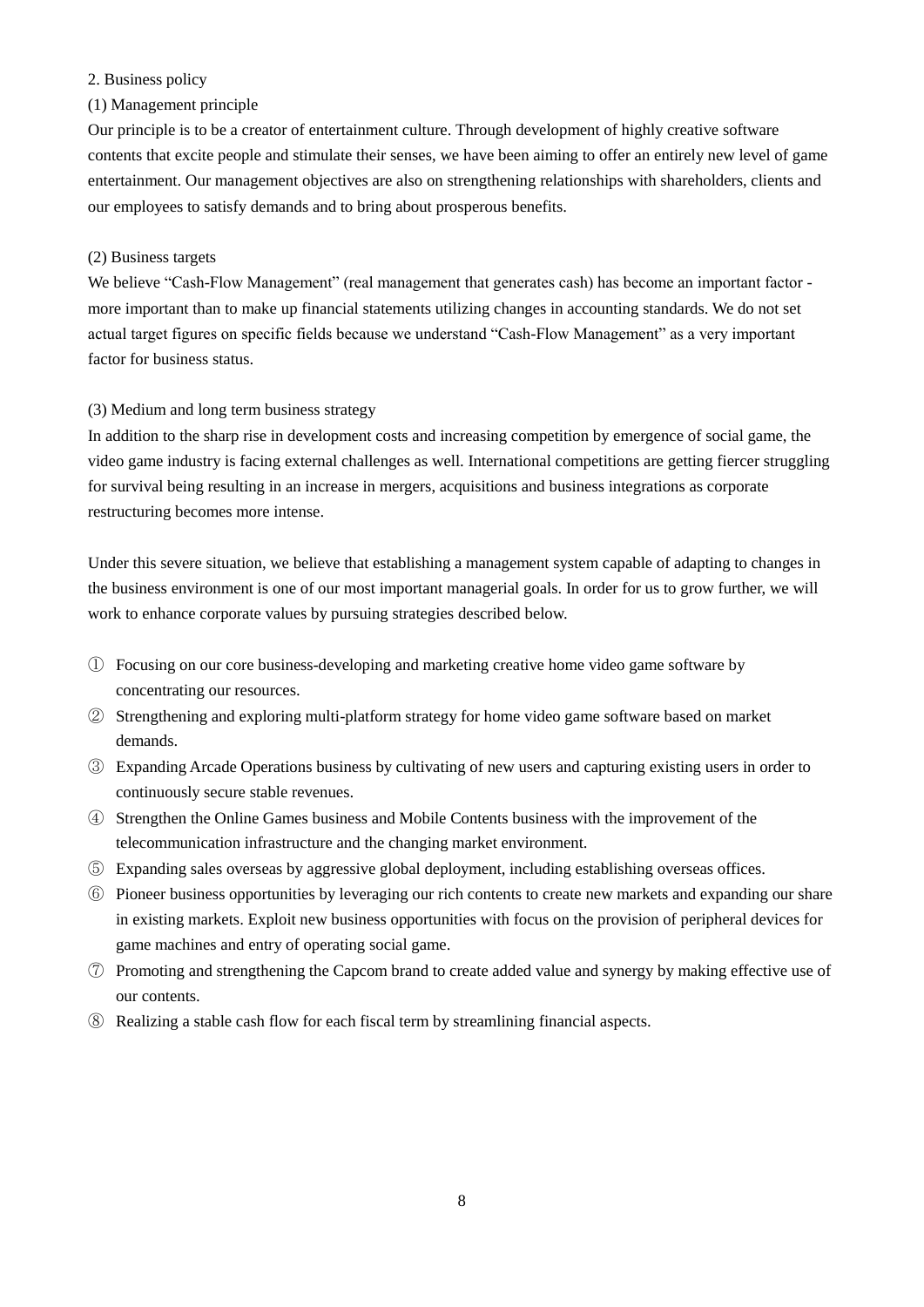# 2. Business policy

### (1) Management principle

Our principle is to be a creator of entertainment culture. Through development of highly creative software contents that excite people and stimulate their senses, we have been aiming to offer an entirely new level of game entertainment. Our management objectives are also on strengthening relationships with shareholders, clients and our employees to satisfy demands and to bring about prosperous benefits.

### (2) Business targets

We believe "Cash-Flow Management" (real management that generates cash) has become an important factor more important than to make up financial statements utilizing changes in accounting standards. We do not set actual target figures on specific fields because we understand "Cash-Flow Management" as a very important factor for business status.

### (3) Medium and long term business strategy

In addition to the sharp rise in development costs and increasing competition by emergence of social game, the video game industry is facing external challenges as well. International competitions are getting fiercer struggling for survival being resulting in an increase in mergers, acquisitions and business integrations as corporate restructuring becomes more intense.

Under this severe situation, we believe that establishing a management system capable of adapting to changes in the business environment is one of our most important managerial goals. In order for us to grow further, we will work to enhance corporate values by pursuing strategies described below.

- ① Focusing on our core business-developing and marketing creative home video game software by concentrating our resources.
- ② Strengthening and exploring multi-platform strategy for home video game software based on market demands.
- ③ Expanding Arcade Operations business by cultivating of new users and capturing existing users in order to continuously secure stable revenues.
- ④ Strengthen the Online Games business and Mobile Contents business with the improvement of the telecommunication infrastructure and the changing market environment.
- ⑤ Expanding sales overseas by aggressive global deployment, including establishing overseas offices.
- ⑥ Pioneer business opportunities by leveraging our rich contents to create new markets and expanding our share in existing markets. Exploit new business opportunities with focus on the provision of peripheral devices for game machines and entry of operating social game.
- ⑦ Promoting and strengthening the Capcom brand to create added value and synergy by making effective use of our contents.
- ⑧ Realizing a stable cash flow for each fiscal term by streamlining financial aspects.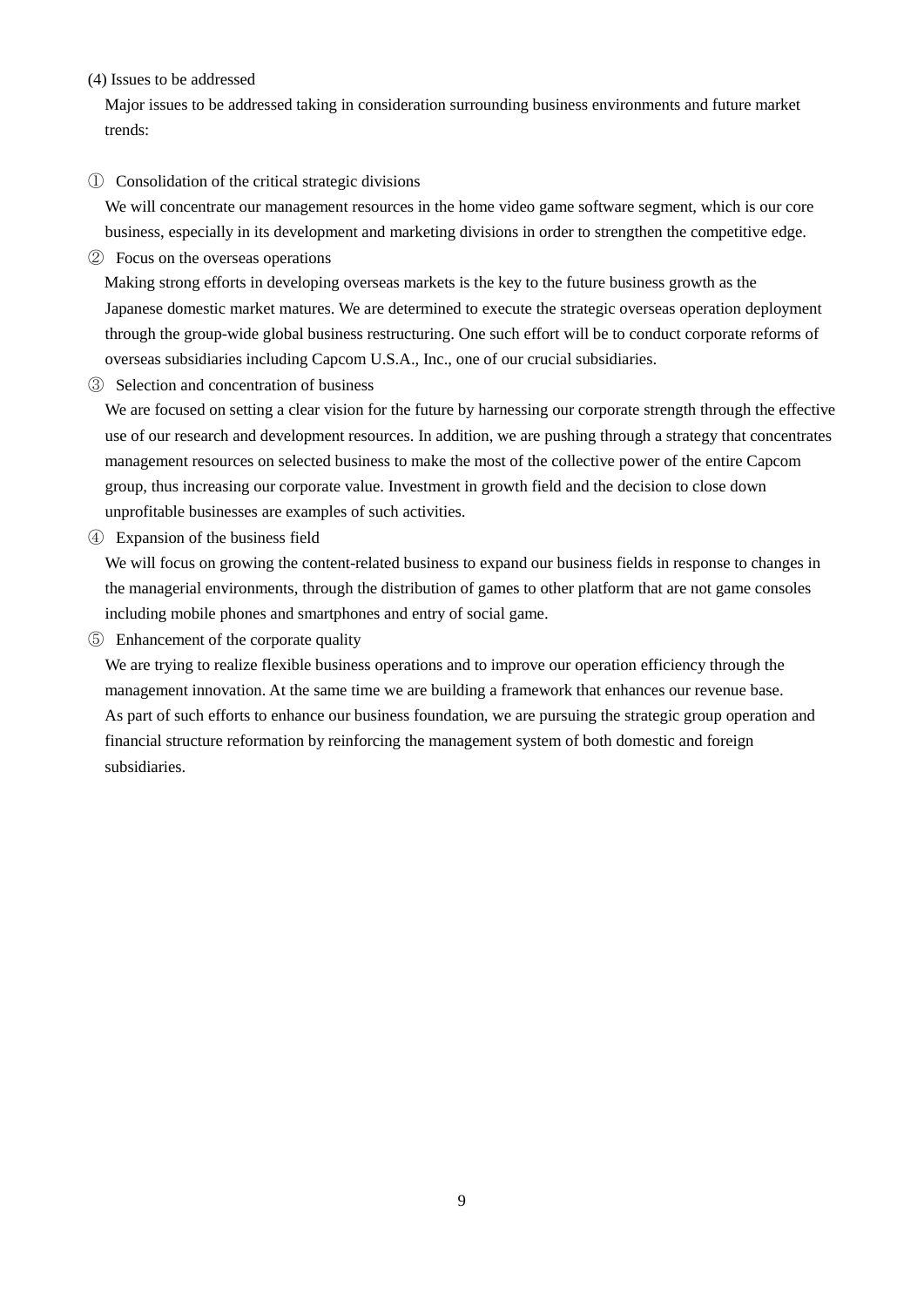# (4) Issues to be addressed

Major issues to be addressed taking in consideration surrounding business environments and future market trends:

#### ① Consolidation of the critical strategic divisions

We will concentrate our management resources in the home video game software segment, which is our core business, especially in its development and marketing divisions in order to strengthen the competitive edge.

② Focus on the overseas operations

Making strong efforts in developing overseas markets is the key to the future business growth as the Japanese domestic market matures. We are determined to execute the strategic overseas operation deployment through the group-wide global business restructuring. One such effort will be to conduct corporate reforms of overseas subsidiaries including Capcom U.S.A., Inc., one of our crucial subsidiaries.

③ Selection and concentration of business

We are focused on setting a clear vision for the future by harnessing our corporate strength through the effective use of our research and development resources. In addition, we are pushing through a strategy that concentrates management resources on selected business to make the most of the collective power of the entire Capcom group, thus increasing our corporate value. Investment in growth field and the decision to close down unprofitable businesses are examples of such activities.

④ Expansion of the business field

We will focus on growing the content-related business to expand our business fields in response to changes in the managerial environments, through the distribution of games to other platform that are not game consoles including mobile phones and smartphones and entry of social game.

⑤ Enhancement of the corporate quality

We are trying to realize flexible business operations and to improve our operation efficiency through the management innovation. At the same time we are building a framework that enhances our revenue base. As part of such efforts to enhance our business foundation, we are pursuing the strategic group operation and financial structure reformation by reinforcing the management system of both domestic and foreign subsidiaries.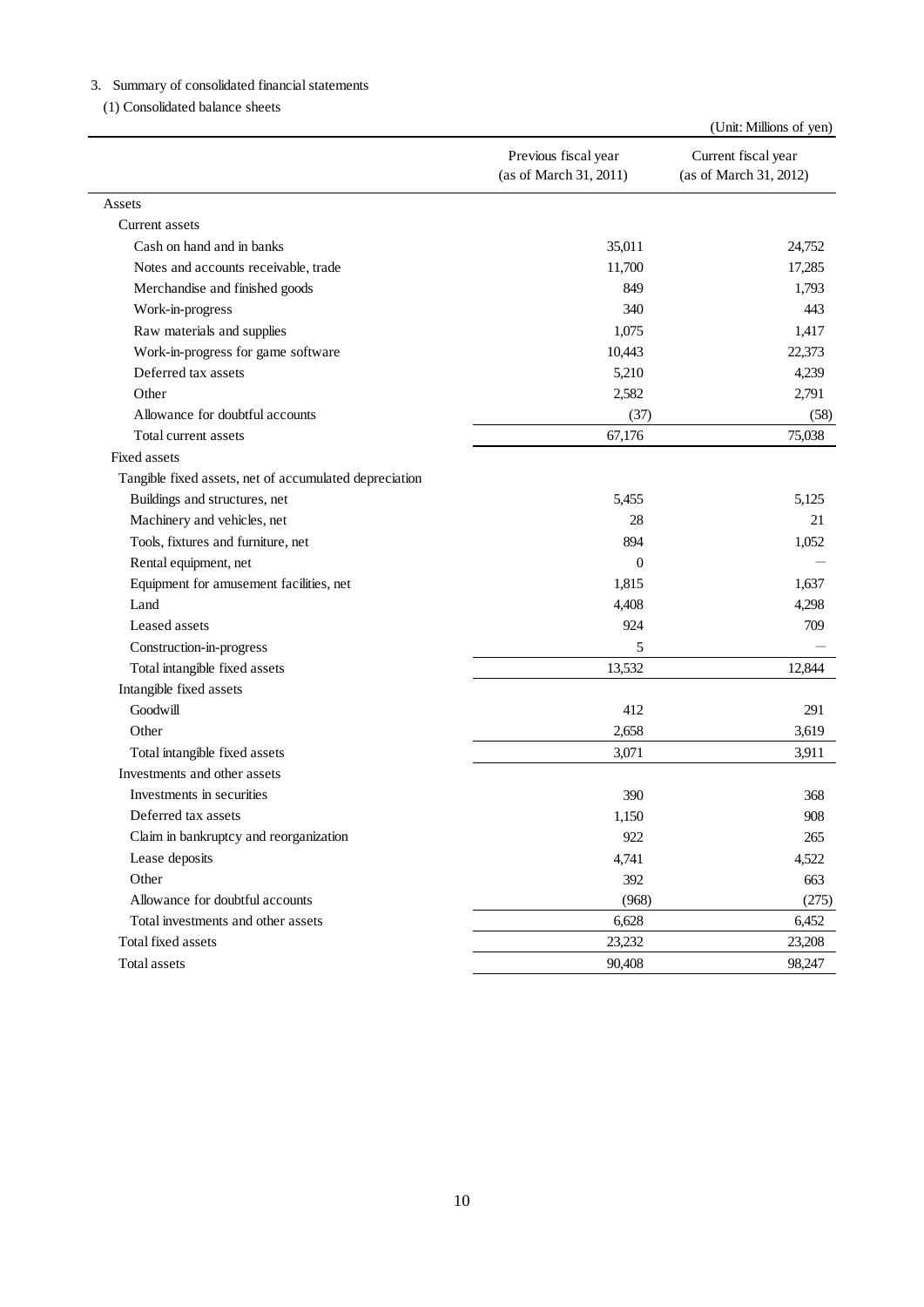|                                                        | Previous fiscal year<br>(as of March 31, 2011) | Current fiscal year<br>(as of March 31, 2012) |
|--------------------------------------------------------|------------------------------------------------|-----------------------------------------------|
| Assets                                                 |                                                |                                               |
| Current assets                                         |                                                |                                               |
| Cash on hand and in banks                              | 35,011                                         | 24,752                                        |
| Notes and accounts receivable, trade                   | 11,700                                         | 17,285                                        |
| Merchandise and finished goods                         | 849                                            | 1,793                                         |
| Work-in-progress                                       | 340                                            | 443                                           |
| Raw materials and supplies                             | 1,075                                          | 1,417                                         |
| Work-in-progress for game software                     | 10,443                                         | 22,373                                        |
| Deferred tax assets                                    | 5,210                                          | 4,239                                         |
| Other                                                  | 2,582                                          | 2,791                                         |
| Allowance for doubtful accounts                        | (37)                                           | (58)                                          |
| Total current assets                                   | 67,176                                         | 75,038                                        |
| Fixed assets                                           |                                                |                                               |
| Tangible fixed assets, net of accumulated depreciation |                                                |                                               |
| Buildings and structures, net                          | 5,455                                          | 5,125                                         |
| Machinery and vehicles, net                            | 28                                             | 21                                            |
| Tools, fixtures and furniture, net                     | 894                                            | 1,052                                         |
| Rental equipment, net                                  | $\boldsymbol{0}$                               |                                               |
| Equipment for amusement facilities, net                | 1,815                                          | 1,637                                         |
| Land                                                   | 4,408                                          | 4,298                                         |
| Leased assets                                          | 924                                            | 709                                           |
| Construction-in-progress                               | 5                                              |                                               |
| Total intangible fixed assets                          | 13,532                                         | 12,844                                        |
| Intangible fixed assets                                |                                                |                                               |
| Goodwill                                               | 412                                            | 291                                           |
| Other                                                  | 2,658                                          | 3,619                                         |
| Total intangible fixed assets                          | 3,071                                          | 3,911                                         |
| Investments and other assets                           |                                                |                                               |
| Investments in securities                              | 390                                            | 368                                           |
| Deferred tax assets                                    | 1,150                                          | 908                                           |
| Claim in bankruptcy and reorganization                 | 922                                            | 265                                           |
| Lease deposits                                         | 4,741                                          | 4,522                                         |
| Other                                                  | 392                                            | 663                                           |
| Allowance for doubtful accounts                        | (968)                                          | (275)                                         |
| Total investments and other assets                     | 6,628                                          | 6,452                                         |
| Total fixed assets                                     | 23,232                                         | 23,208                                        |
| Total assets                                           | 90,408                                         | 98,247                                        |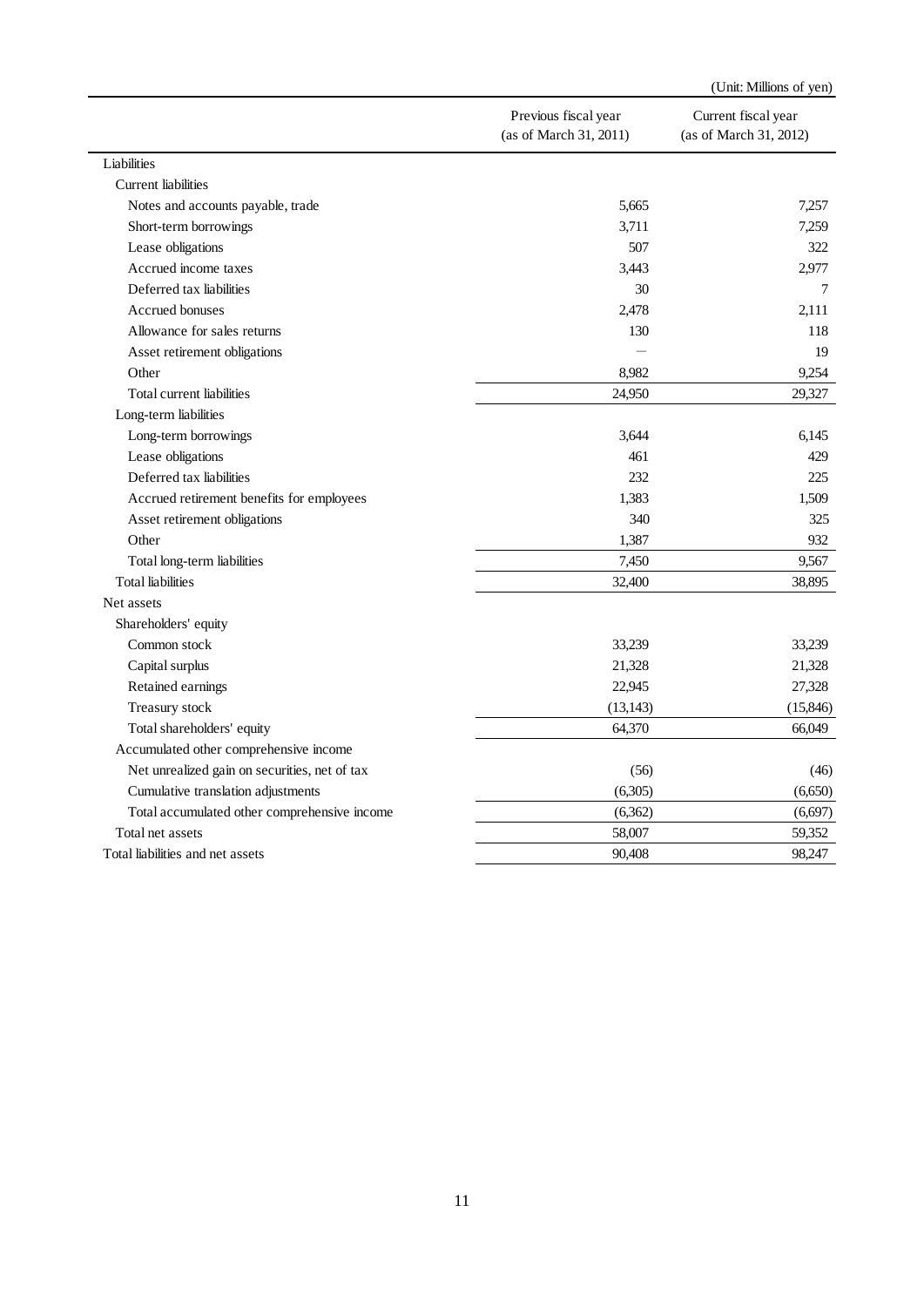|                                               |                        | (Unit: Millions of yen) |
|-----------------------------------------------|------------------------|-------------------------|
|                                               | Previous fiscal year   | Current fiscal year     |
|                                               | (as of March 31, 2011) | (as of March 31, 2012)  |
| Liabilities                                   |                        |                         |
| <b>Current</b> liabilities                    |                        |                         |
| Notes and accounts payable, trade             | 5,665                  | 7,257                   |
| Short-term borrowings                         | 3,711                  | 7,259                   |
| Lease obligations                             | 507                    | 322                     |
| Accrued income taxes                          | 3,443                  | 2,977                   |
| Deferred tax liabilities                      | 30                     | 7                       |
| Accrued bonuses                               | 2,478                  | 2,111                   |
| Allowance for sales returns                   | 130                    | 118                     |
| Asset retirement obligations                  |                        | 19                      |
| Other                                         | 8,982                  | 9,254                   |
| Total current liabilities                     | 24,950                 | 29,327                  |
| Long-term liabilities                         |                        |                         |
| Long-term borrowings                          | 3,644                  | 6,145                   |
| Lease obligations                             | 461                    | 429                     |
| Deferred tax liabilities                      | 232                    | 225                     |
| Accrued retirement benefits for employees     | 1,383                  | 1,509                   |
| Asset retirement obligations                  | 340                    | 325                     |
| Other                                         | 1,387                  | 932                     |
| Total long-term liabilities                   | 7,450                  | 9,567                   |
| <b>Total liabilities</b>                      | 32,400                 | 38,895                  |
| Net assets                                    |                        |                         |
| Shareholders' equity                          |                        |                         |
| Common stock                                  | 33,239                 | 33,239                  |
| Capital surplus                               | 21,328                 | 21,328                  |
| Retained earnings                             | 22,945                 | 27,328                  |
| Treasury stock                                | (13, 143)              | (15, 846)               |
| Total shareholders' equity                    | 64,370                 | 66,049                  |
| Accumulated other comprehensive income        |                        |                         |
| Net unrealized gain on securities, net of tax | (56)                   | (46)                    |
| Cumulative translation adjustments            | (6,305)                | (6,650)                 |
| Total accumulated other comprehensive income  | (6,362)                | (6,697)                 |
| Total net assets                              | 58,007                 | 59,352                  |
| Total liabilities and net assets              | 90,408                 | 98,247                  |
|                                               |                        |                         |
|                                               | 11                     |                         |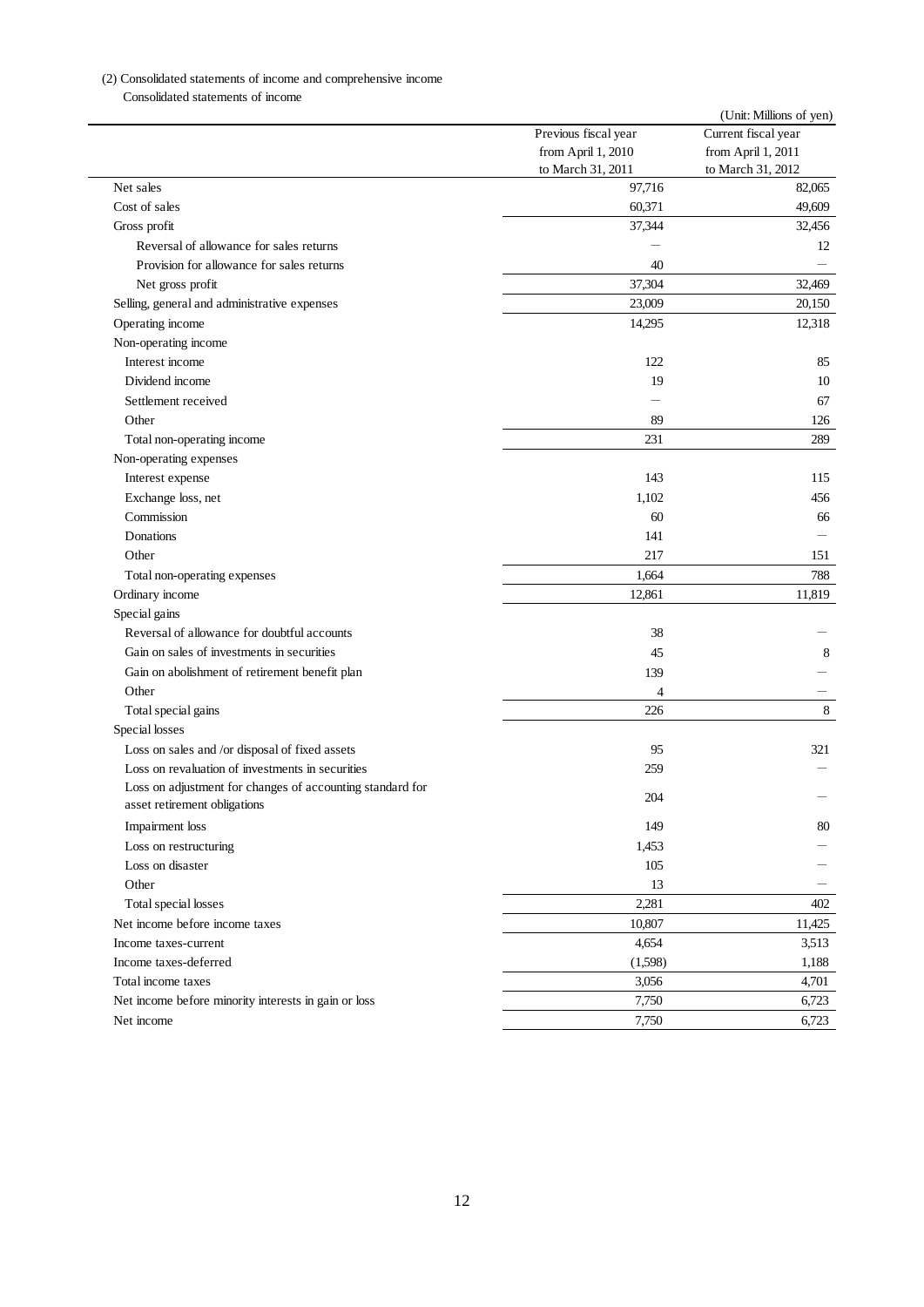|                                                           | Previous fiscal year | (Unit: Millions of yen)<br>Current fiscal year |
|-----------------------------------------------------------|----------------------|------------------------------------------------|
|                                                           | from April 1, 2010   | from April 1, 2011                             |
|                                                           | to March 31, 2011    | to March 31, 2012                              |
| Net sales                                                 | 97,716               | 82,065                                         |
| Cost of sales                                             | 60,371               | 49,609                                         |
| Gross profit                                              | 37,344               | 32,456                                         |
| Reversal of allowance for sales returns                   |                      | 12                                             |
| Provision for allowance for sales returns                 | 40                   |                                                |
| Net gross profit                                          | 37,304               | 32,469                                         |
| Selling, general and administrative expenses              | 23,009               | 20,150                                         |
| Operating income                                          | 14,295               | 12,318                                         |
| Non-operating income                                      |                      |                                                |
| Interest income                                           | 122                  | 85                                             |
| Dividend income                                           | 19                   | 10                                             |
| Settlement received                                       |                      | 67                                             |
| Other                                                     | 89                   | 126                                            |
| Total non-operating income                                | 231                  | 289                                            |
| Non-operating expenses                                    |                      |                                                |
| Interest expense                                          | 143                  | 115                                            |
| Exchange loss, net                                        | 1,102                | 456                                            |
| Commission                                                | 60                   | 66                                             |
| Donations                                                 | 141                  |                                                |
| Other                                                     | 217                  | 151                                            |
| Total non-operating expenses                              | 1,664                | 788                                            |
| Ordinary income                                           | 12,861               | 11,819                                         |
| Special gains                                             |                      |                                                |
| Reversal of allowance for doubtful accounts               | 38                   |                                                |
| Gain on sales of investments in securities                | 45                   | 8                                              |
| Gain on abolishment of retirement benefit plan            | 139                  |                                                |
| Other                                                     | 4                    |                                                |
| Total special gains                                       | 226                  | 8                                              |
| Special losses                                            |                      |                                                |
| Loss on sales and /or disposal of fixed assets            | 95                   | 321                                            |
| Loss on revaluation of investments in securities          | 259                  |                                                |
| Loss on adjustment for changes of accounting standard for | 204                  |                                                |
| asset retirement obligations                              |                      |                                                |
| Impairment loss                                           | 149                  | 80                                             |
| Loss on restructuring                                     | 1,453                |                                                |
| Loss on disaster                                          | 105                  |                                                |
| Other                                                     | 13                   |                                                |
| Total special losses                                      | 2,281                | 402                                            |
| Net income before income taxes                            | 10,807               | 11,425                                         |
| Income taxes-current                                      | 4,654                | 3,513                                          |
| Income taxes-deferred                                     | (1,598)              | 1,188                                          |
| Total income taxes                                        | 3,056                | 4,701                                          |
| Net income before minority interests in gain or loss      | 7,750                | 6,723                                          |
|                                                           | 7,750                | 6,723                                          |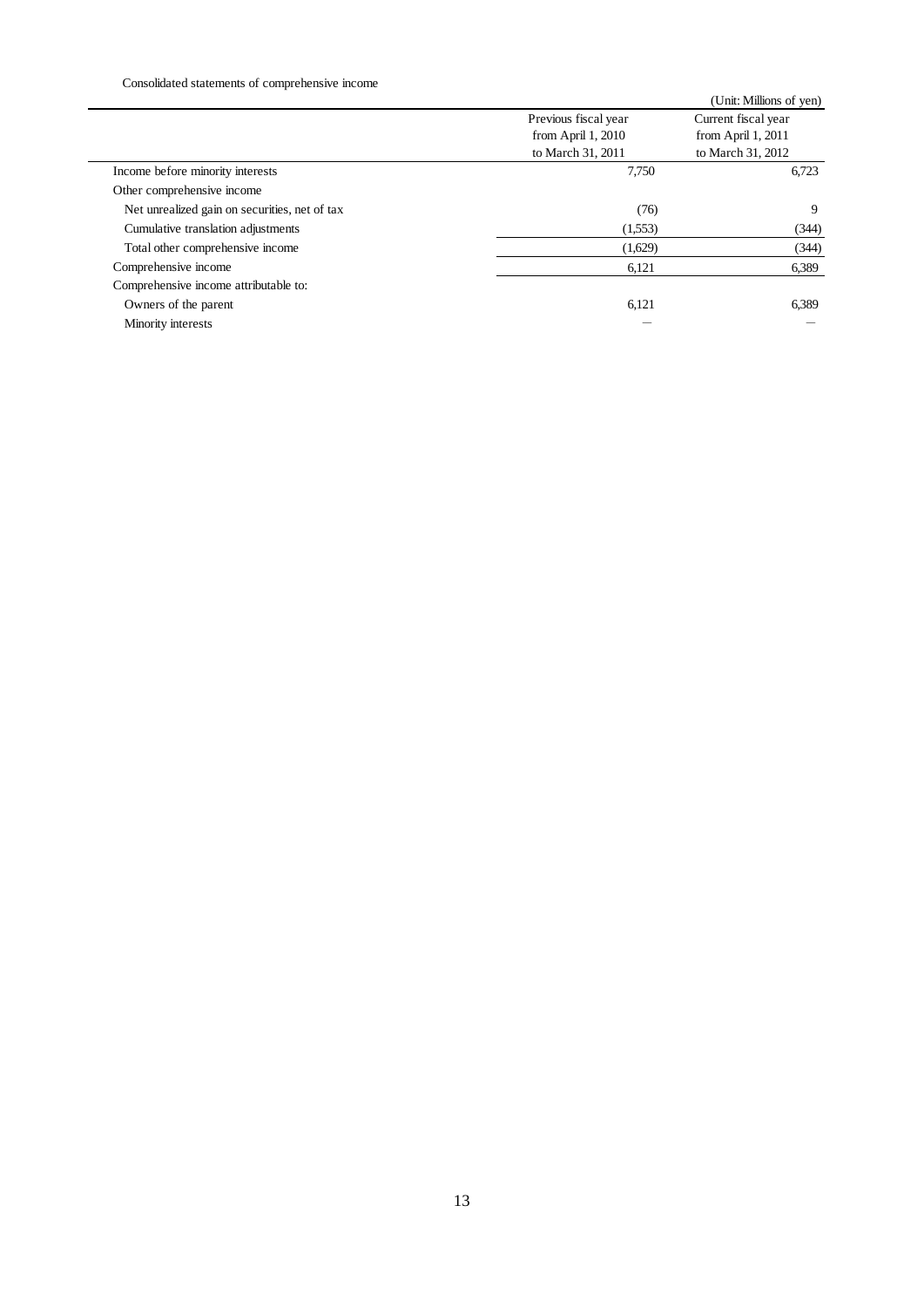|                                               | Previous fiscal year<br>from April 1, 2010 | (Unit: Millions of yen)<br>Current fiscal year<br>from April 1, 2011 |
|-----------------------------------------------|--------------------------------------------|----------------------------------------------------------------------|
|                                               | to March 31, 2011                          | to March 31, 2012                                                    |
| Income before minority interests              | 7,750                                      | 6,723                                                                |
| Other comprehensive income                    |                                            |                                                                      |
| Net unrealized gain on securities, net of tax | (76)                                       | $\boldsymbol{9}$                                                     |
| Cumulative translation adjustments            | (1,553)                                    | (344)                                                                |
| Total other comprehensive income              | (1,629)                                    | (344)                                                                |
| Comprehensive income                          | 6,121                                      | 6,389                                                                |
| Comprehensive income attributable to:         |                                            |                                                                      |
| Owners of the parent                          | 6,121                                      | 6,389                                                                |
| Minority interests                            |                                            |                                                                      |
|                                               |                                            |                                                                      |
|                                               |                                            |                                                                      |
|                                               |                                            |                                                                      |
|                                               |                                            |                                                                      |
|                                               |                                            |                                                                      |
|                                               |                                            |                                                                      |
|                                               |                                            |                                                                      |
|                                               |                                            |                                                                      |
|                                               |                                            |                                                                      |
|                                               |                                            |                                                                      |
|                                               |                                            |                                                                      |
|                                               |                                            |                                                                      |
|                                               |                                            |                                                                      |
|                                               |                                            |                                                                      |
|                                               |                                            |                                                                      |
|                                               |                                            |                                                                      |
|                                               |                                            |                                                                      |
|                                               |                                            |                                                                      |
|                                               | 13                                         |                                                                      |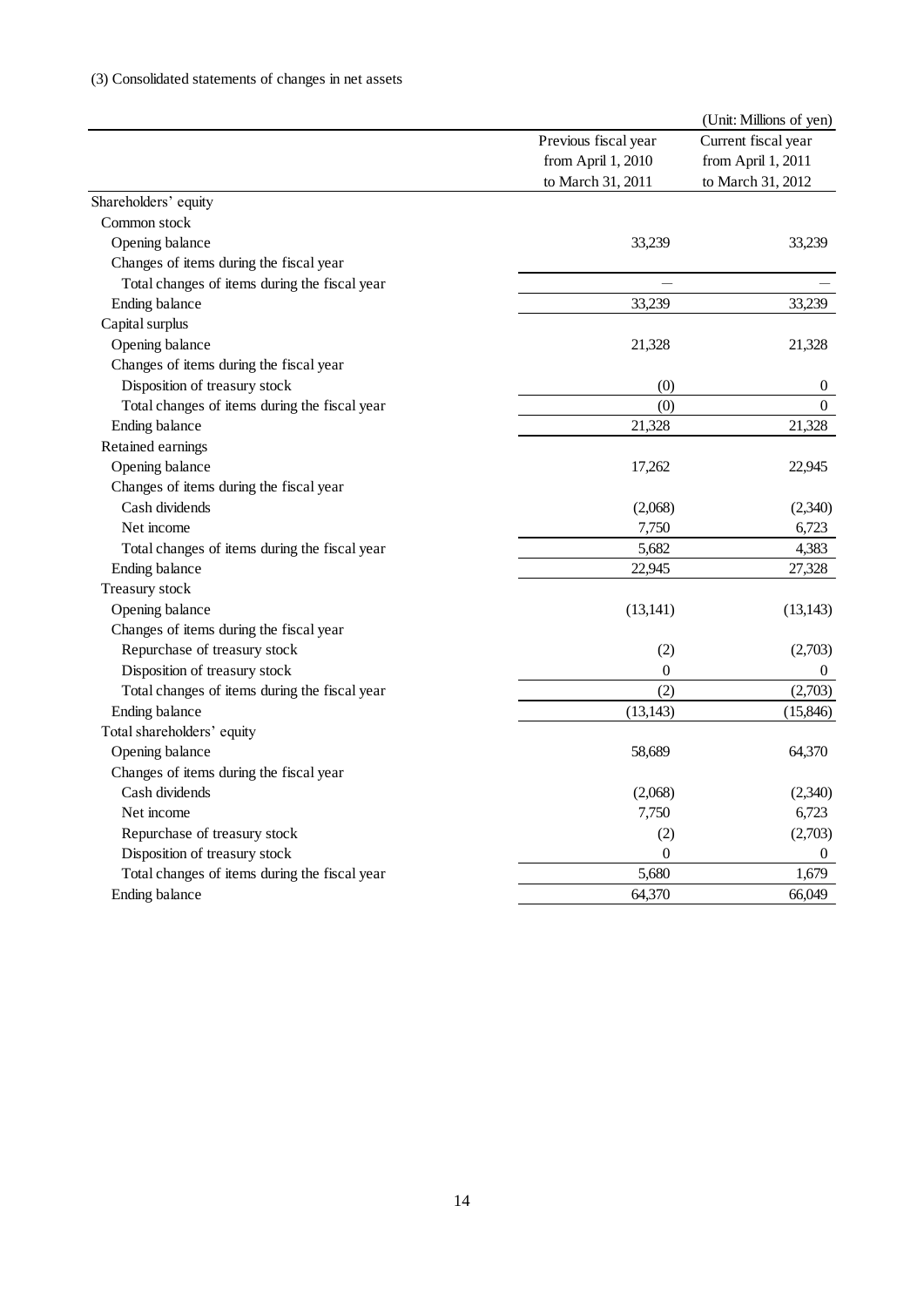| Common stock<br>Opening balance<br>Changes of items during the fiscal year<br>Total changes of items during the fiscal year<br>Ending balance<br>Capital surplus<br>Opening balance<br>Changes of items during the fiscal year<br>Disposition of treasury stock<br>Total changes of items during the fiscal year<br>Ending balance<br>Retained earnings<br>Opening balance<br>Changes of items during the fiscal year<br>Cash dividends<br>Net income<br>Total changes of items during the fiscal year<br>Ending balance<br>Treasury stock | Previous fiscal year<br>from April 1, 2010<br>to March 31, 2011<br>33,239<br>33,239<br>21,328<br>(0)<br>(0)<br>21,328<br>17,262 | Current fiscal year<br>from April 1, 2011<br>to March 31, 2012<br>33,239<br>33,239<br>21,328<br>$\boldsymbol{0}$<br>$\mathbf{0}$<br>21,328 |
|--------------------------------------------------------------------------------------------------------------------------------------------------------------------------------------------------------------------------------------------------------------------------------------------------------------------------------------------------------------------------------------------------------------------------------------------------------------------------------------------------------------------------------------------|---------------------------------------------------------------------------------------------------------------------------------|--------------------------------------------------------------------------------------------------------------------------------------------|
| Shareholders' equity                                                                                                                                                                                                                                                                                                                                                                                                                                                                                                                       |                                                                                                                                 |                                                                                                                                            |
|                                                                                                                                                                                                                                                                                                                                                                                                                                                                                                                                            |                                                                                                                                 |                                                                                                                                            |
|                                                                                                                                                                                                                                                                                                                                                                                                                                                                                                                                            |                                                                                                                                 |                                                                                                                                            |
|                                                                                                                                                                                                                                                                                                                                                                                                                                                                                                                                            |                                                                                                                                 |                                                                                                                                            |
|                                                                                                                                                                                                                                                                                                                                                                                                                                                                                                                                            |                                                                                                                                 |                                                                                                                                            |
|                                                                                                                                                                                                                                                                                                                                                                                                                                                                                                                                            |                                                                                                                                 |                                                                                                                                            |
|                                                                                                                                                                                                                                                                                                                                                                                                                                                                                                                                            |                                                                                                                                 |                                                                                                                                            |
|                                                                                                                                                                                                                                                                                                                                                                                                                                                                                                                                            |                                                                                                                                 |                                                                                                                                            |
|                                                                                                                                                                                                                                                                                                                                                                                                                                                                                                                                            |                                                                                                                                 |                                                                                                                                            |
|                                                                                                                                                                                                                                                                                                                                                                                                                                                                                                                                            |                                                                                                                                 |                                                                                                                                            |
|                                                                                                                                                                                                                                                                                                                                                                                                                                                                                                                                            |                                                                                                                                 |                                                                                                                                            |
|                                                                                                                                                                                                                                                                                                                                                                                                                                                                                                                                            |                                                                                                                                 |                                                                                                                                            |
|                                                                                                                                                                                                                                                                                                                                                                                                                                                                                                                                            |                                                                                                                                 |                                                                                                                                            |
|                                                                                                                                                                                                                                                                                                                                                                                                                                                                                                                                            |                                                                                                                                 |                                                                                                                                            |
|                                                                                                                                                                                                                                                                                                                                                                                                                                                                                                                                            |                                                                                                                                 |                                                                                                                                            |
|                                                                                                                                                                                                                                                                                                                                                                                                                                                                                                                                            |                                                                                                                                 |                                                                                                                                            |
|                                                                                                                                                                                                                                                                                                                                                                                                                                                                                                                                            |                                                                                                                                 | 22,945                                                                                                                                     |
|                                                                                                                                                                                                                                                                                                                                                                                                                                                                                                                                            |                                                                                                                                 |                                                                                                                                            |
|                                                                                                                                                                                                                                                                                                                                                                                                                                                                                                                                            | (2,068)                                                                                                                         | (2,340)                                                                                                                                    |
|                                                                                                                                                                                                                                                                                                                                                                                                                                                                                                                                            | 7,750                                                                                                                           | 6,723                                                                                                                                      |
|                                                                                                                                                                                                                                                                                                                                                                                                                                                                                                                                            | 5,682                                                                                                                           | 4,383                                                                                                                                      |
|                                                                                                                                                                                                                                                                                                                                                                                                                                                                                                                                            | 22,945                                                                                                                          | 27,328                                                                                                                                     |
|                                                                                                                                                                                                                                                                                                                                                                                                                                                                                                                                            |                                                                                                                                 |                                                                                                                                            |
| Opening balance                                                                                                                                                                                                                                                                                                                                                                                                                                                                                                                            | (13, 141)                                                                                                                       | (13, 143)                                                                                                                                  |
| Changes of items during the fiscal year                                                                                                                                                                                                                                                                                                                                                                                                                                                                                                    |                                                                                                                                 |                                                                                                                                            |
| Repurchase of treasury stock                                                                                                                                                                                                                                                                                                                                                                                                                                                                                                               | (2)                                                                                                                             | (2,703)                                                                                                                                    |
| Disposition of treasury stock                                                                                                                                                                                                                                                                                                                                                                                                                                                                                                              | $\mathbf{0}$                                                                                                                    | $\boldsymbol{0}$                                                                                                                           |
| Total changes of items during the fiscal year                                                                                                                                                                                                                                                                                                                                                                                                                                                                                              | (2)                                                                                                                             | (2,703)                                                                                                                                    |
| Ending balance                                                                                                                                                                                                                                                                                                                                                                                                                                                                                                                             | (13, 143)                                                                                                                       | (15, 846)                                                                                                                                  |
| Total shareholders' equity                                                                                                                                                                                                                                                                                                                                                                                                                                                                                                                 |                                                                                                                                 |                                                                                                                                            |
| Opening balance                                                                                                                                                                                                                                                                                                                                                                                                                                                                                                                            | 58,689                                                                                                                          | 64,370                                                                                                                                     |
| Changes of items during the fiscal year                                                                                                                                                                                                                                                                                                                                                                                                                                                                                                    |                                                                                                                                 |                                                                                                                                            |
| Cash dividends                                                                                                                                                                                                                                                                                                                                                                                                                                                                                                                             | (2,068)                                                                                                                         | (2,340)                                                                                                                                    |
| Net income                                                                                                                                                                                                                                                                                                                                                                                                                                                                                                                                 | 7,750                                                                                                                           | 6,723                                                                                                                                      |
| Repurchase of treasury stock                                                                                                                                                                                                                                                                                                                                                                                                                                                                                                               | (2)                                                                                                                             | (2,703)                                                                                                                                    |
| Disposition of treasury stock                                                                                                                                                                                                                                                                                                                                                                                                                                                                                                              | $\boldsymbol{0}$                                                                                                                | $\boldsymbol{0}$                                                                                                                           |
| Total changes of items during the fiscal year                                                                                                                                                                                                                                                                                                                                                                                                                                                                                              | 5,680                                                                                                                           | 1,679                                                                                                                                      |
| Ending balance                                                                                                                                                                                                                                                                                                                                                                                                                                                                                                                             | 64,370                                                                                                                          | 66,049                                                                                                                                     |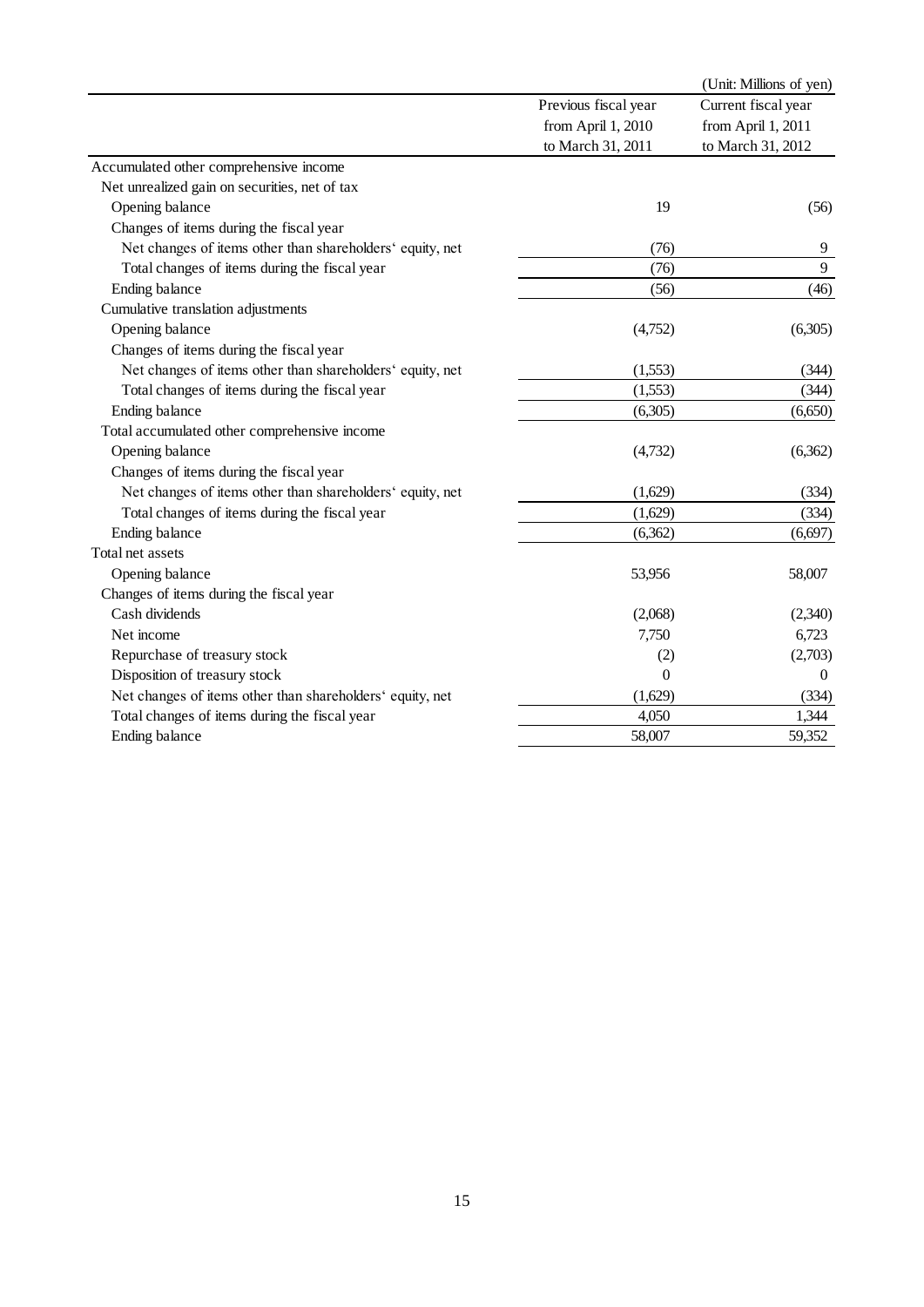|                                                           |                      | (Unit: Millions of yen) |
|-----------------------------------------------------------|----------------------|-------------------------|
|                                                           | Previous fiscal year | Current fiscal year     |
|                                                           | from April 1, 2010   | from April 1, 2011      |
|                                                           | to March 31, 2011    | to March 31, 2012       |
| Accumulated other comprehensive income                    |                      |                         |
| Net unrealized gain on securities, net of tax             |                      |                         |
| Opening balance                                           | 19                   | (56)                    |
| Changes of items during the fiscal year                   |                      |                         |
| Net changes of items other than shareholders' equity, net | (76)                 | 9                       |
| Total changes of items during the fiscal year             | (76)                 | $\mathbf{9}$            |
| Ending balance                                            | (56)                 | (46)                    |
| Cumulative translation adjustments                        |                      |                         |
| Opening balance                                           | (4,752)              | (6,305)                 |
| Changes of items during the fiscal year                   |                      |                         |
| Net changes of items other than shareholders' equity, net | (1,553)              | (344)                   |
| Total changes of items during the fiscal year             | (1,553)              | (344)                   |
|                                                           |                      |                         |
| Ending balance                                            | (6,305)              | (6,650)                 |
| Total accumulated other comprehensive income              |                      |                         |
| Opening balance                                           | (4,732)              | (6,362)                 |
| Changes of items during the fiscal year                   |                      |                         |
| Net changes of items other than shareholders' equity, net | (1,629)              | (334)                   |
| Total changes of items during the fiscal year             | (1,629)              | (334)                   |
| Ending balance                                            | (6,362)              | (6, 697)                |
| Total net assets                                          |                      |                         |
| Opening balance                                           | 53,956               | 58,007                  |
| Changes of items during the fiscal year                   |                      |                         |
| Cash dividends                                            | (2,068)              | (2,340)                 |
| Net income                                                | 7,750                | 6,723                   |
| Repurchase of treasury stock                              | (2)                  | (2,703)                 |
| Disposition of treasury stock                             | $\theta$             | $\boldsymbol{0}$        |
| Net changes of items other than shareholders' equity, net | (1,629)              | (334)                   |
| Total changes of items during the fiscal year             | 4,050                | 1,344                   |
| Ending balance                                            | 58,007               | 59,352                  |
|                                                           |                      |                         |
| 15                                                        |                      |                         |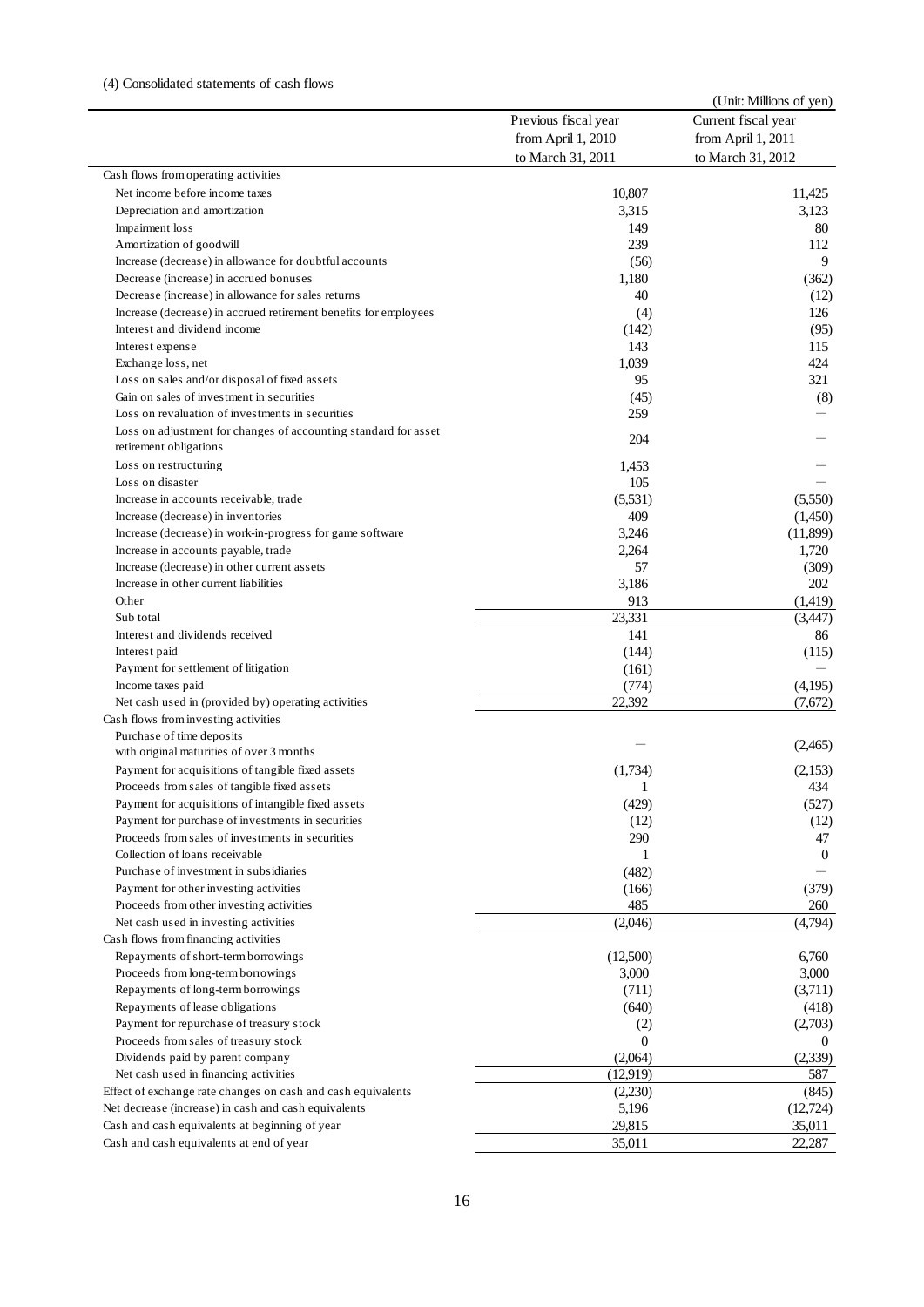|                                                                                                  |                      | (Unit: Millions of yen) |
|--------------------------------------------------------------------------------------------------|----------------------|-------------------------|
|                                                                                                  | Previous fiscal year | Current fiscal year     |
|                                                                                                  | from April 1, 2010   | from April 1, 2011      |
|                                                                                                  | to March 31, 2011    | to March 31, 2012       |
| Cash flows from operating activities                                                             |                      |                         |
| Net income before income taxes                                                                   | 10,807               | 11,425                  |
| Depreciation and amortization                                                                    | 3,315                | 3,123                   |
| Impairment loss                                                                                  | 149                  | 80                      |
| Amortization of goodwill                                                                         | 239                  | 112                     |
| Increase (decrease) in allowance for doubtful accounts                                           | (56)                 | 9                       |
| Decrease (increase) in accrued bonuses                                                           | 1,180                | (362)                   |
| Decrease (increase) in allowance for sales returns                                               | 40                   | (12)                    |
| Increase (decrease) in accrued retirement benefits for employees<br>Interest and dividend income | (4)<br>(142)         | 126<br>(95)             |
| Interest expense                                                                                 | 143                  | 115                     |
| Exchange loss, net                                                                               | 1,039                | 424                     |
| Loss on sales and/or disposal of fixed assets                                                    | 95                   | 321                     |
| Gain on sales of investment in securities                                                        | (45)                 | (8)                     |
| Loss on revaluation of investments in securities                                                 | 259                  |                         |
| Loss on adjustment for changes of accounting standard for asset                                  |                      |                         |
| retirement obligations                                                                           | 204                  |                         |
| Loss on restructuring                                                                            | 1,453                |                         |
| Loss on disaster                                                                                 | 105                  |                         |
| Increase in accounts receivable, trade                                                           | (5,531)              | (5,550)                 |
| Increase (decrease) in inventories                                                               | 409                  | (1,450)                 |
| Increase (decrease) in work-in-progress for game software                                        | 3,246                | (11,899)                |
| Increase in accounts payable, trade                                                              | 2,264                | 1,720                   |
| Increase (decrease) in other current assets                                                      | 57                   | (309)                   |
| Increase in other current liabilities                                                            | 3,186                | 202                     |
| Other                                                                                            | 913                  | (1,419)                 |
| Sub total                                                                                        | 23,331               | (3,447)                 |
| Interest and dividends received                                                                  | 141                  | 86                      |
| Interest paid                                                                                    | (144)                | (115)                   |
| Payment for settlement of litigation                                                             | (161)                |                         |
| Income taxes paid                                                                                | (774)                | (4,195)                 |
| Net cash used in (provided by) operating activities                                              | 22,392               | (7,672)                 |
| Cash flows from investing activities                                                             |                      |                         |
| Purchase of time deposits                                                                        |                      |                         |
| with original maturities of over 3 months                                                        |                      | (2,465)                 |
| Payment for acquisitions of tangible fixed assets                                                | (1,734)              | (2,153)                 |
| Proceeds from sales of tangible fixed assets                                                     | 1                    | 434                     |
| Payment for acquisitions of intangible fixed assets                                              | (429)                | (527)                   |
| Payment for purchase of investments in securities                                                | (12)                 | (12)                    |
| Proceeds from sales of investments in securities                                                 | 290                  | 47                      |
| Collection of loans receivable                                                                   | 1                    | $\theta$                |
| Purchase of investment in subsidiaries                                                           | (482)                |                         |
| Payment for other investing activities                                                           | (166)                | (379)                   |
| Proceeds from other investing activities                                                         | 485                  | 260                     |
| Net cash used in investing activities                                                            | (2,046)              | (4,794)                 |
| Cash flows from financing activities                                                             |                      |                         |
| Repayments of short-term borrowings                                                              | (12,500)             | 6,760                   |
| Proceeds from long-term borrowings                                                               | 3,000                | 3,000                   |
| Repayments of long-term borrowings                                                               | (711)                | (3,711)                 |
| Repayments of lease obligations                                                                  | (640)                | (418)                   |
| Payment for repurchase of treasury stock                                                         | (2)                  | (2,703)                 |
| Proceeds from sales of treasury stock                                                            | 0                    | $\theta$                |
| Dividends paid by parent company                                                                 | (2,064)              | (2,339)                 |
| Net cash used in financing activities                                                            | (12, 919)            | 587                     |
| Effect of exchange rate changes on cash and cash equivalents                                     | (2,230)              | (845)                   |
| Net decrease (increase) in cash and cash equivalents                                             | 5,196                | (12,724)                |
| Cash and cash equivalents at beginning of year                                                   | 29,815               | 35,011                  |
| Cash and cash equivalents at end of year                                                         | 35,011               | 22,287                  |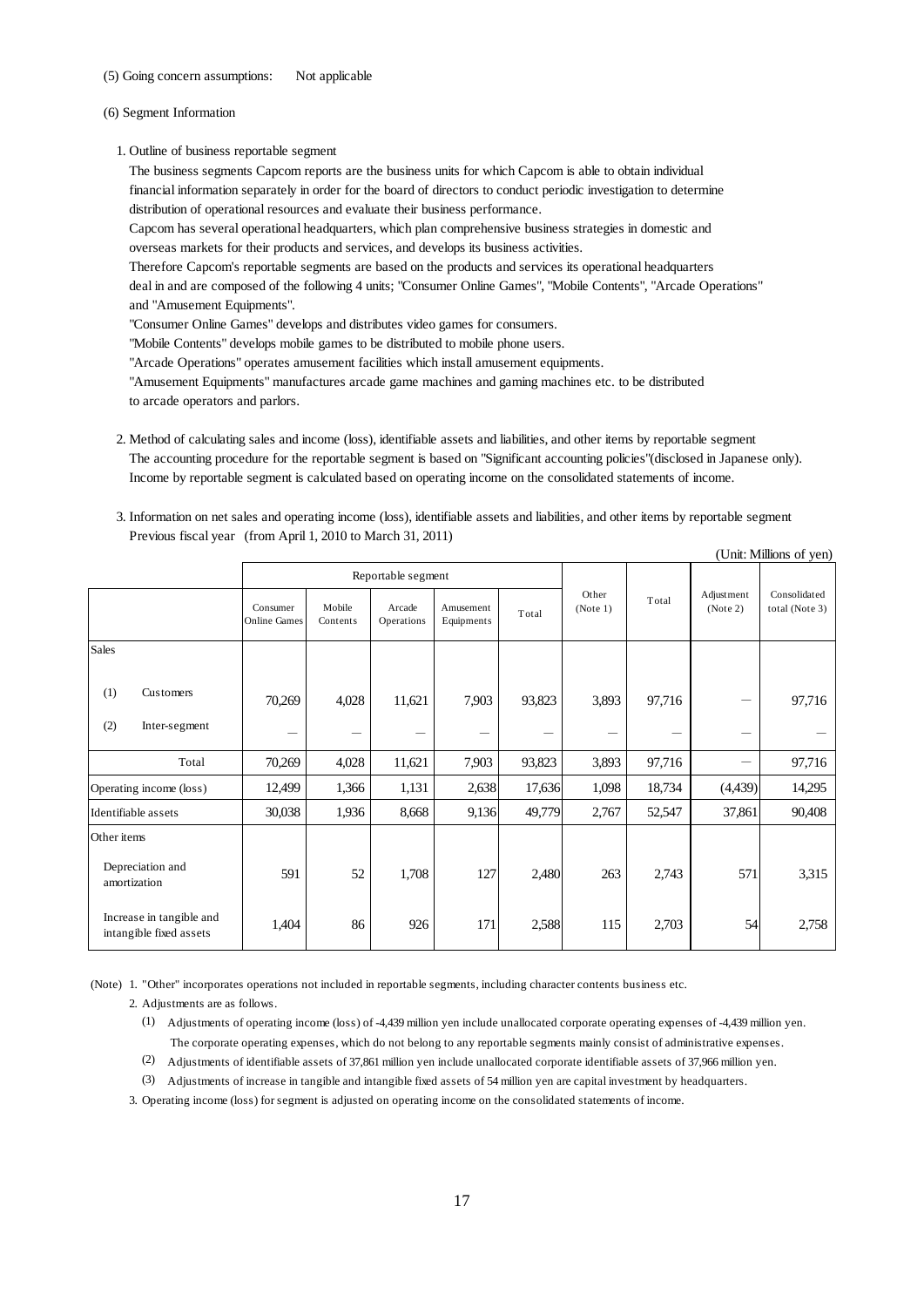#### (6) Segment Information

- 2. Method of calculating sales and income (loss), identifiable assets and liabilities, and other items by reportable segment The accounting procedure for the reportable segment is based on "Significant accounting policies"(disclosed in Japanese only). Income by reportable segment is calculated based on operating income on the consolidated statements of income.
- 3. Information on net sales and operating income (loss), identifiable assets and liabilities, and other items by reportable segment Previous fiscal year (from April 1, 2010 to March 31, 2011)

| (6) Segment Information<br>1. Outline of business reportable segment<br>The business segments Capcom reports are the business units for which Capcom is able to obtain individual<br>financial information separately in order for the board of directors to conduct periodic investigation to determine<br>distribution of operational resources and evaluate their business performance.<br>Capcom has several operational headquarters, which plan comprehensive business strategies in domestic and<br>overseas markets for their products and services, and develops its business activities.<br>Therefore Capcom's reportable segments are based on the products and services its operational headquarters<br>deal in and are composed of the following 4 units; "Consumer Online Games", "Mobile Contents", "Arcade Operations"<br>and "Amusement Equipments".<br>"Consumer Online Games" develops and distributes video games for consumers.<br>"Mobile Contents" develops mobile games to be distributed to mobile phone users.<br>"Arcade Operations" operates amusement facilities which install amusement equipments.<br>"Amusement Equipments" manufactures arcade game machines and gaming machines etc. to be distributed<br>to arcade operators and parlors.<br>2. Method of calculating sales and income (loss), identifiable assets and liabilities, and other items by reportable segment<br>The accounting procedure for the reportable segment is based on "Significant accounting policies"(disclosed in Japanese only).<br>Income by reportable segment is calculated based on operating income on the consolidated statements of income.<br>3. Information on net sales and operating income (loss), identifiable assets and liabilities, and other items by reportable segment<br>Previous fiscal year (from April 1, 2010 to March 31, 2011)<br>(Unit: Millions of yen)<br>Reportable segment<br>Other<br>Adjustment<br>Total<br>Mobile<br>Consumer<br>Arcade<br>Amusement<br>(Note 2)<br>(Note 1)<br>Total<br><b>Online Games</b><br>Contents<br>Operations<br>Equipments<br>Sales<br>(1)<br>Customers<br>3,893<br>70,269<br>4,028<br>11,621<br>7,903<br>93,823<br>97,716<br>(2)<br>Inter-segment<br>70,269<br>4,028<br>7,903<br>93,823<br>3,893<br>Total<br>11,621<br>97,716<br>12,499<br>1,098<br>18,734<br>(4,439)<br>1,366<br>1,131<br>2,638<br>17,636<br>Operating income (loss)<br>49,779<br>52,547<br>30,038<br>1,936<br>2,767<br>8,668<br>9,136<br>37,861<br>Identifiable assets<br>Other items<br>Depreciation and<br>591<br>52<br>1,708<br>127<br>571<br>2,480<br>263<br>2,743<br>amortization<br>Increase in tangible and<br>1,404<br>86<br>926<br>2,703<br>54<br>171<br>2,588<br>115<br>intangible fixed assets<br>(Note) 1. "Other" incorporates operations not included in reportable segments, including character contents business etc.<br>2. Adjustments are as follows.<br>(1)<br>Adjustments of operating income (loss) of -4,439 million yen include unallocated corporate operating expenses of -4,439 million yen.<br>The corporate operating expenses, which do not belong to any reportable segments mainly consist of administrative expenses.<br>(2)<br>Adjustments of identifiable assets of 37,861 million yen include unallocated corporate identifiable assets of 37,966 million yen.<br>(3)<br>Adjustments of increase in tangible and intangible fixed assets of 54 million yen are capital investment by headquarters.<br>3. Operating income (loss) for segment is adjusted on operating income on the consolidated statements of income. | (5) Going concern assumptions: |  | Not applicable |  |    |  |  |  |                                |
|---------------------------------------------------------------------------------------------------------------------------------------------------------------------------------------------------------------------------------------------------------------------------------------------------------------------------------------------------------------------------------------------------------------------------------------------------------------------------------------------------------------------------------------------------------------------------------------------------------------------------------------------------------------------------------------------------------------------------------------------------------------------------------------------------------------------------------------------------------------------------------------------------------------------------------------------------------------------------------------------------------------------------------------------------------------------------------------------------------------------------------------------------------------------------------------------------------------------------------------------------------------------------------------------------------------------------------------------------------------------------------------------------------------------------------------------------------------------------------------------------------------------------------------------------------------------------------------------------------------------------------------------------------------------------------------------------------------------------------------------------------------------------------------------------------------------------------------------------------------------------------------------------------------------------------------------------------------------------------------------------------------------------------------------------------------------------------------------------------------------------------------------------------------------------------------------------------------------------------------------------------------------------------------------------------------------------------------------------------------------------------------------------------------------------------------------------------------------------------------------------------------------------------------------------------------------------------------------------------------------------------------------------------------------------------------------------------------------------------------------------------------------------------------------------------------------------------------------------------------------------------------------------------------------------------------------------------------------------------------------------------------------------------------------------------------------------------------------------------------------------------------------------------------------------------------------------------------------------------------------------------------------------------------------------------------------------------------------------------------------------------------------------------------------------------------------------------------------------------------------------------------------------------------------------------------------------------------------------------|--------------------------------|--|----------------|--|----|--|--|--|--------------------------------|
|                                                                                                                                                                                                                                                                                                                                                                                                                                                                                                                                                                                                                                                                                                                                                                                                                                                                                                                                                                                                                                                                                                                                                                                                                                                                                                                                                                                                                                                                                                                                                                                                                                                                                                                                                                                                                                                                                                                                                                                                                                                                                                                                                                                                                                                                                                                                                                                                                                                                                                                                                                                                                                                                                                                                                                                                                                                                                                                                                                                                                                                                                                                                                                                                                                                                                                                                                                                                                                                                                                                                                                                                         |                                |  |                |  |    |  |  |  |                                |
|                                                                                                                                                                                                                                                                                                                                                                                                                                                                                                                                                                                                                                                                                                                                                                                                                                                                                                                                                                                                                                                                                                                                                                                                                                                                                                                                                                                                                                                                                                                                                                                                                                                                                                                                                                                                                                                                                                                                                                                                                                                                                                                                                                                                                                                                                                                                                                                                                                                                                                                                                                                                                                                                                                                                                                                                                                                                                                                                                                                                                                                                                                                                                                                                                                                                                                                                                                                                                                                                                                                                                                                                         |                                |  |                |  |    |  |  |  |                                |
|                                                                                                                                                                                                                                                                                                                                                                                                                                                                                                                                                                                                                                                                                                                                                                                                                                                                                                                                                                                                                                                                                                                                                                                                                                                                                                                                                                                                                                                                                                                                                                                                                                                                                                                                                                                                                                                                                                                                                                                                                                                                                                                                                                                                                                                                                                                                                                                                                                                                                                                                                                                                                                                                                                                                                                                                                                                                                                                                                                                                                                                                                                                                                                                                                                                                                                                                                                                                                                                                                                                                                                                                         |                                |  |                |  |    |  |  |  |                                |
|                                                                                                                                                                                                                                                                                                                                                                                                                                                                                                                                                                                                                                                                                                                                                                                                                                                                                                                                                                                                                                                                                                                                                                                                                                                                                                                                                                                                                                                                                                                                                                                                                                                                                                                                                                                                                                                                                                                                                                                                                                                                                                                                                                                                                                                                                                                                                                                                                                                                                                                                                                                                                                                                                                                                                                                                                                                                                                                                                                                                                                                                                                                                                                                                                                                                                                                                                                                                                                                                                                                                                                                                         |                                |  |                |  |    |  |  |  |                                |
|                                                                                                                                                                                                                                                                                                                                                                                                                                                                                                                                                                                                                                                                                                                                                                                                                                                                                                                                                                                                                                                                                                                                                                                                                                                                                                                                                                                                                                                                                                                                                                                                                                                                                                                                                                                                                                                                                                                                                                                                                                                                                                                                                                                                                                                                                                                                                                                                                                                                                                                                                                                                                                                                                                                                                                                                                                                                                                                                                                                                                                                                                                                                                                                                                                                                                                                                                                                                                                                                                                                                                                                                         |                                |  |                |  |    |  |  |  | Consolidated<br>total (Note 3) |
|                                                                                                                                                                                                                                                                                                                                                                                                                                                                                                                                                                                                                                                                                                                                                                                                                                                                                                                                                                                                                                                                                                                                                                                                                                                                                                                                                                                                                                                                                                                                                                                                                                                                                                                                                                                                                                                                                                                                                                                                                                                                                                                                                                                                                                                                                                                                                                                                                                                                                                                                                                                                                                                                                                                                                                                                                                                                                                                                                                                                                                                                                                                                                                                                                                                                                                                                                                                                                                                                                                                                                                                                         |                                |  |                |  |    |  |  |  |                                |
|                                                                                                                                                                                                                                                                                                                                                                                                                                                                                                                                                                                                                                                                                                                                                                                                                                                                                                                                                                                                                                                                                                                                                                                                                                                                                                                                                                                                                                                                                                                                                                                                                                                                                                                                                                                                                                                                                                                                                                                                                                                                                                                                                                                                                                                                                                                                                                                                                                                                                                                                                                                                                                                                                                                                                                                                                                                                                                                                                                                                                                                                                                                                                                                                                                                                                                                                                                                                                                                                                                                                                                                                         |                                |  |                |  |    |  |  |  | 97,716                         |
|                                                                                                                                                                                                                                                                                                                                                                                                                                                                                                                                                                                                                                                                                                                                                                                                                                                                                                                                                                                                                                                                                                                                                                                                                                                                                                                                                                                                                                                                                                                                                                                                                                                                                                                                                                                                                                                                                                                                                                                                                                                                                                                                                                                                                                                                                                                                                                                                                                                                                                                                                                                                                                                                                                                                                                                                                                                                                                                                                                                                                                                                                                                                                                                                                                                                                                                                                                                                                                                                                                                                                                                                         |                                |  |                |  |    |  |  |  | 97,716                         |
|                                                                                                                                                                                                                                                                                                                                                                                                                                                                                                                                                                                                                                                                                                                                                                                                                                                                                                                                                                                                                                                                                                                                                                                                                                                                                                                                                                                                                                                                                                                                                                                                                                                                                                                                                                                                                                                                                                                                                                                                                                                                                                                                                                                                                                                                                                                                                                                                                                                                                                                                                                                                                                                                                                                                                                                                                                                                                                                                                                                                                                                                                                                                                                                                                                                                                                                                                                                                                                                                                                                                                                                                         |                                |  |                |  |    |  |  |  | 14,295                         |
|                                                                                                                                                                                                                                                                                                                                                                                                                                                                                                                                                                                                                                                                                                                                                                                                                                                                                                                                                                                                                                                                                                                                                                                                                                                                                                                                                                                                                                                                                                                                                                                                                                                                                                                                                                                                                                                                                                                                                                                                                                                                                                                                                                                                                                                                                                                                                                                                                                                                                                                                                                                                                                                                                                                                                                                                                                                                                                                                                                                                                                                                                                                                                                                                                                                                                                                                                                                                                                                                                                                                                                                                         |                                |  |                |  |    |  |  |  | 90,408                         |
|                                                                                                                                                                                                                                                                                                                                                                                                                                                                                                                                                                                                                                                                                                                                                                                                                                                                                                                                                                                                                                                                                                                                                                                                                                                                                                                                                                                                                                                                                                                                                                                                                                                                                                                                                                                                                                                                                                                                                                                                                                                                                                                                                                                                                                                                                                                                                                                                                                                                                                                                                                                                                                                                                                                                                                                                                                                                                                                                                                                                                                                                                                                                                                                                                                                                                                                                                                                                                                                                                                                                                                                                         |                                |  |                |  |    |  |  |  | 3,315                          |
|                                                                                                                                                                                                                                                                                                                                                                                                                                                                                                                                                                                                                                                                                                                                                                                                                                                                                                                                                                                                                                                                                                                                                                                                                                                                                                                                                                                                                                                                                                                                                                                                                                                                                                                                                                                                                                                                                                                                                                                                                                                                                                                                                                                                                                                                                                                                                                                                                                                                                                                                                                                                                                                                                                                                                                                                                                                                                                                                                                                                                                                                                                                                                                                                                                                                                                                                                                                                                                                                                                                                                                                                         |                                |  |                |  |    |  |  |  | 2,758                          |
|                                                                                                                                                                                                                                                                                                                                                                                                                                                                                                                                                                                                                                                                                                                                                                                                                                                                                                                                                                                                                                                                                                                                                                                                                                                                                                                                                                                                                                                                                                                                                                                                                                                                                                                                                                                                                                                                                                                                                                                                                                                                                                                                                                                                                                                                                                                                                                                                                                                                                                                                                                                                                                                                                                                                                                                                                                                                                                                                                                                                                                                                                                                                                                                                                                                                                                                                                                                                                                                                                                                                                                                                         |                                |  |                |  | 17 |  |  |  |                                |

- (1) Adjustments of operating income (loss) of -4,439 million yen include unallocated corporate operating expenses of -4,439 million yen. The corporate operating expenses, which do not belong to any reportable segments mainly consist of administrative expenses.
- (2) Adjustments of identifiable assets of 37,861 million yen include unallocated corporate identifiable assets of 37,966 million yen.
- (3) Adjustments of increase in tangible and intangible fixed assets of 54 million yen are capital investment by headquarters.
- 3. Operating income (loss) for segment is adjusted on operating income on the consolidated statements of income.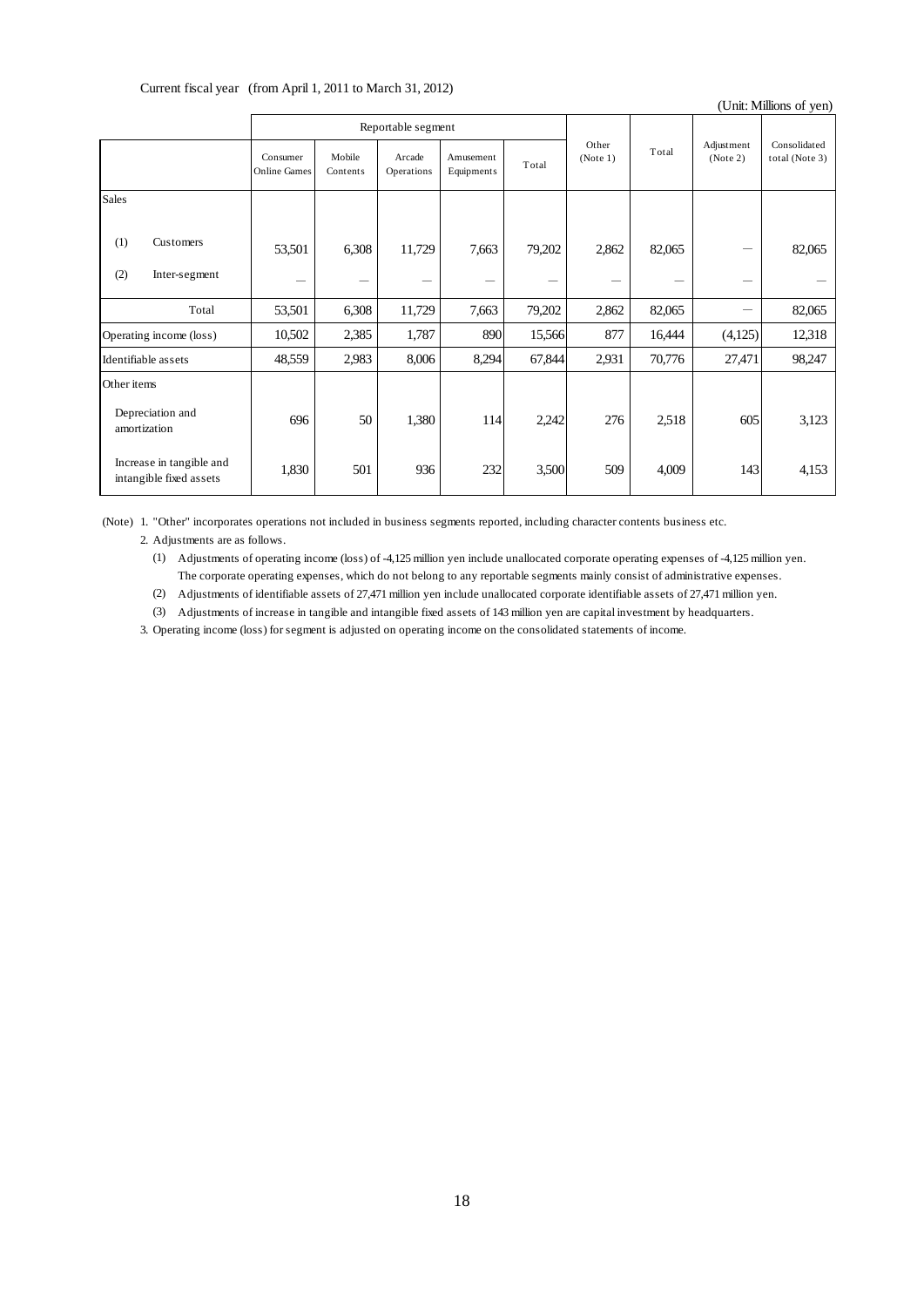| <b>Sales</b><br>$\sqrt{\text{Customers}}$<br>(1)<br>(2)<br>Inter-segment<br>Total<br>Operating income (loss)<br>Identifiable assets<br>Other items<br>Depreciation and<br>amortization | Consumer<br><b>Online Games</b><br>53,501<br>$\qquad \qquad -$<br>53,501<br>10,502<br>48,559 | Mobile<br>Contents<br>6,308<br>6,308<br>2,385<br>2,983 | Reportable segment<br>Arcade<br>Operations<br>11,729<br>$\qquad \qquad -$<br>11,729 | Amusement<br>Equipments<br>7,663<br>$\overline{\phantom{0}}$ | Total<br>79,202 | Other<br>(Note 1)<br>2,862 | Total<br>82,065 | Adjustment<br>(Note 2) | (Unit: Millions of yen)<br>Consolidated<br>total (Note 3) |
|----------------------------------------------------------------------------------------------------------------------------------------------------------------------------------------|----------------------------------------------------------------------------------------------|--------------------------------------------------------|-------------------------------------------------------------------------------------|--------------------------------------------------------------|-----------------|----------------------------|-----------------|------------------------|-----------------------------------------------------------|
|                                                                                                                                                                                        |                                                                                              |                                                        |                                                                                     |                                                              |                 |                            |                 |                        |                                                           |
|                                                                                                                                                                                        |                                                                                              |                                                        |                                                                                     |                                                              |                 |                            |                 |                        |                                                           |
|                                                                                                                                                                                        |                                                                                              |                                                        |                                                                                     |                                                              |                 |                            |                 |                        |                                                           |
|                                                                                                                                                                                        |                                                                                              |                                                        |                                                                                     |                                                              |                 |                            |                 |                        | 82,065                                                    |
|                                                                                                                                                                                        |                                                                                              |                                                        |                                                                                     |                                                              | —               |                            |                 |                        |                                                           |
|                                                                                                                                                                                        |                                                                                              |                                                        |                                                                                     | 7,663                                                        | 79,202          | 2,862                      | 82,065          | —                      | 82,065                                                    |
|                                                                                                                                                                                        |                                                                                              |                                                        | 1,787                                                                               | 890                                                          | 15,566          | 877                        | 16,444          | (4,125)                | 12,318                                                    |
|                                                                                                                                                                                        |                                                                                              |                                                        | 8,006                                                                               | 8,294                                                        | 67,844          | 2,931                      | 70,776          | 27,471                 | 98,247                                                    |
|                                                                                                                                                                                        |                                                                                              |                                                        |                                                                                     |                                                              |                 |                            |                 |                        |                                                           |
|                                                                                                                                                                                        | 696                                                                                          | 50                                                     | 1,380                                                                               | 114                                                          | 2,242           | 276                        | 2,518           | 605                    | 3,123                                                     |
| Increase in tangible and<br>intangible fixed assets                                                                                                                                    | 1,830                                                                                        | 501                                                    | 936                                                                                 | 232                                                          | 3,500           | 509                        | 4,009           | 143                    | 4,153                                                     |
|                                                                                                                                                                                        |                                                                                              |                                                        |                                                                                     |                                                              |                 |                            |                 |                        |                                                           |
|                                                                                                                                                                                        |                                                                                              |                                                        |                                                                                     | 18                                                           |                 |                            |                 |                        |                                                           |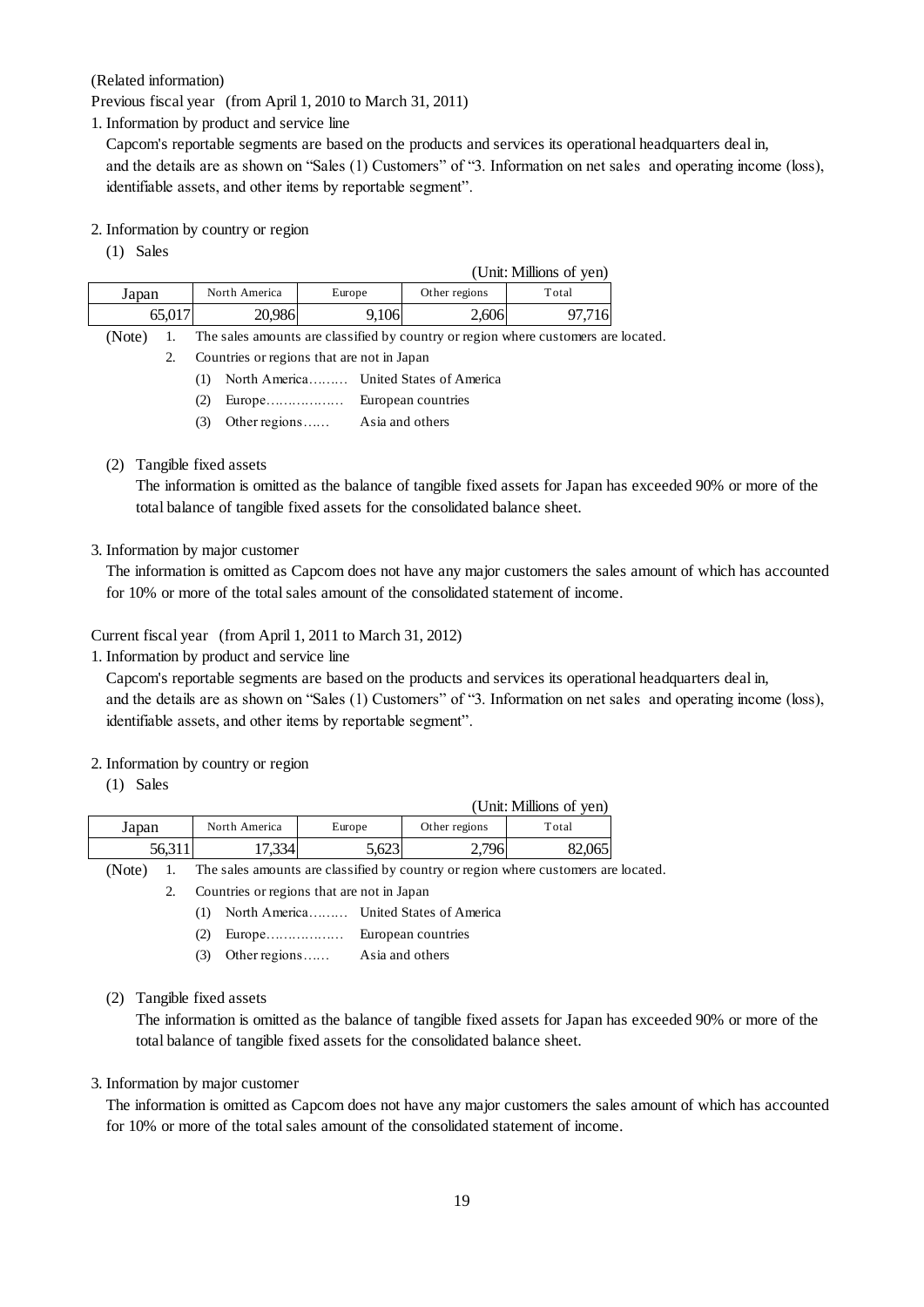Capcom's reportable segments are based on the products and services its operational headquarters deal in, and the details are as shown on "Sales (1) Customers" of "3. Information on net sales and operating income (loss), identifiable assets, and other items by reportable segment".

#### 2. Information by country or region

| (Related information)     |                                            |                                                                            |               |                                                                                           |
|---------------------------|--------------------------------------------|----------------------------------------------------------------------------|---------------|-------------------------------------------------------------------------------------------|
|                           |                                            | Previous fiscal year (from April 1, 2010 to March 31, 2011)                |               |                                                                                           |
|                           | 1. Information by product and service line |                                                                            |               |                                                                                           |
|                           |                                            |                                                                            |               | Capcom's reportable segments are based on the products and services its operational head  |
|                           |                                            |                                                                            |               | and the details are as shown on "Sales (1) Customers" of "3. Information on net sales and |
|                           |                                            | identifiable assets, and other items by reportable segment".               |               |                                                                                           |
|                           |                                            |                                                                            |               |                                                                                           |
| $(1)$ Sales               | 2. Information by country or region        |                                                                            |               |                                                                                           |
|                           |                                            |                                                                            |               | (Unit: Millions of yen)                                                                   |
| Japan                     | North America                              | Europe                                                                     | Other regions | Total                                                                                     |
| 65,017                    | 20,986                                     | 9,106                                                                      | 2,606         | 97,716                                                                                    |
| (Note)<br>1.              |                                            |                                                                            |               | The sales amounts are classified by country or region where customers are located.        |
| 2.                        |                                            | Countries or regions that are not in Japan                                 |               |                                                                                           |
|                           | (1)                                        | North America United States of America                                     |               |                                                                                           |
|                           | (2)                                        | Europe European countries                                                  |               |                                                                                           |
|                           | (3)                                        | Other regions  Asia and others                                             |               |                                                                                           |
|                           |                                            |                                                                            |               |                                                                                           |
| (2) Tangible fixed assets |                                            |                                                                            |               |                                                                                           |
|                           |                                            |                                                                            |               | The information is omitted as the balance of tangible fixed assets for Japan has exceed   |
|                           |                                            | total balance of tangible fixed assets for the consolidated balance sheet. |               |                                                                                           |
|                           |                                            |                                                                            |               |                                                                                           |
|                           | 3. Information by major customer           |                                                                            |               |                                                                                           |
|                           |                                            |                                                                            |               | The information is omitted as Capcom does not have any major customers the sales amou     |
|                           |                                            |                                                                            |               | for 10% or more of the total sales amount of the consolidated statement of income.        |
|                           |                                            |                                                                            |               |                                                                                           |
|                           |                                            | Current fiscal year (from April 1, 2011 to March 31, 2012)                 |               |                                                                                           |
|                           | 1. Information by product and service line |                                                                            |               |                                                                                           |
|                           |                                            |                                                                            |               | Capcom's reportable segments are based on the products and services its operational head  |
|                           |                                            |                                                                            |               | and the details are as shown on "Sales (1) Customers" of "3. Information on net sales and |
|                           |                                            | identifiable assets, and other items by reportable segment".               |               |                                                                                           |
|                           |                                            |                                                                            |               |                                                                                           |
|                           | 2. Information by country or region        |                                                                            |               |                                                                                           |
| $(1)$ Sales               |                                            |                                                                            |               |                                                                                           |
|                           |                                            |                                                                            |               | (Unit: Millions of yen)                                                                   |
| Japan                     | North America                              | Europe                                                                     | Other regions | Total                                                                                     |
| 56,311                    | 17,334                                     | 5,623                                                                      | 2,796         | 82,065                                                                                    |
| (Note)<br>1.              |                                            |                                                                            |               | The sales amounts are classified by country or region where customers are located.        |
| 2.                        |                                            | Countries or regions that are not in Japan                                 |               |                                                                                           |
|                           | (1)                                        | North America United States of America                                     |               |                                                                                           |
|                           | (2)                                        |                                                                            |               |                                                                                           |
|                           | (3)<br>Other regions                       | Asia and others                                                            |               |                                                                                           |
|                           |                                            |                                                                            |               |                                                                                           |
| (2)                       | Tangible fixed assets                      |                                                                            |               |                                                                                           |
|                           |                                            |                                                                            |               | The information is omitted as the balance of tangible fixed assets for Japan has exceed   |
|                           |                                            | total balance of tangible fixed assets for the consolidated balance sheet. |               |                                                                                           |
|                           |                                            |                                                                            |               |                                                                                           |
|                           | 3. Information by major customer           |                                                                            |               |                                                                                           |
|                           |                                            |                                                                            |               | The information is omitted as Capcom does not have any major customers the sales amound   |
|                           |                                            |                                                                            |               | for 10% or more of the total sales amount of the consolidated statement of income.        |
|                           |                                            |                                                                            |               |                                                                                           |
|                           |                                            |                                                                            |               |                                                                                           |
|                           |                                            |                                                                            | 19            |                                                                                           |

- 2. Countries or regions that are not in Japan
	- (1) North America……… United States of America
	- (2) Europe……………… European countries
	- (3) Other regions…… Asia and others
- (2) Tangible fixed assets

The information is omitted as the balance of tangible fixed assets for Japan has exceeded 90% or more of the total balance of tangible fixed assets for the consolidated balance sheet.

#### 3. Information by major customer

The information is omitted as Capcom does not have any major customers the sales amount of which has accounted for 10% or more of the total sales amount of the consolidated statement of income.

Capcom's reportable segments are based on the products and services its operational headquarters deal in, and the details are as shown on "Sales (1) Customers" of "3. Information on net sales and operating income (loss), identifiable assets, and other items by reportable segment".

#### 2. Information by country or region

|        |               |        |               | (Unit: Millions of yen) |
|--------|---------------|--------|---------------|-------------------------|
| Japan  | North America | Europe | Other regions | Total                   |
| 56,311 | 7,334         | 5.623  | 2,796         | 82,065                  |

- (1) North America……… United States of America
- (2) Europe……………… European countries
- (3) Other regions…… Asia and others

#### (2) Tangible fixed assets

The information is omitted as the balance of tangible fixed assets for Japan has exceeded 90% or more of the total balance of tangible fixed assets for the consolidated balance sheet.

#### 3. Information by major customer

The information is omitted as Capcom does not have any major customers the sales amount of which has accounted for 10% or more of the total sales amount of the consolidated statement of income.